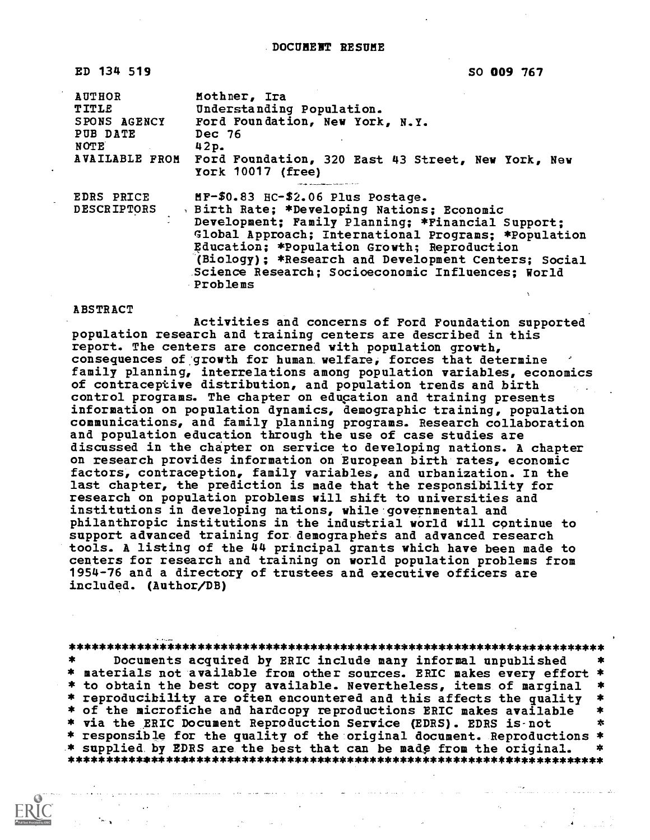ED 134 519

SO 009 767

| <b>AUTHOR</b><br>TITLE<br>SPONS AGENCY<br>PUB DATE<br>NOTE | Mothner, Ira<br>Understanding Population.<br>Ford Foundation, New York, N.Y.<br>Dec 76<br>42p.<br>AVAILABLE FROM Ford Foundation, 320 East 43 Street, New York, New<br>York 10017 (free)                                                                                                                                                                            |
|------------------------------------------------------------|---------------------------------------------------------------------------------------------------------------------------------------------------------------------------------------------------------------------------------------------------------------------------------------------------------------------------------------------------------------------|
| <b>EDRS PRICE</b><br><b>DESCRIPTORS</b>                    | MF-\$0.83 HC-\$2.06 Plus Postage.<br>Birth Rate; *Developing Nations; Economic<br>Development; Family Planning; *Financial Support;<br>Global Approach; International Programs; *Population<br>Education; *Population Growth; Reproduction<br>(Biology); *Research and Development Centers; Social<br>Science Research; Socioeconomic Influences; World<br>Problems |

#### ABSTRACT

Activities and concerns of Ford Foundation supported population research and training centers are described in this report. The centers are concerned with population growth, consequences of growth for human welfare, forces that determine family planning, interrelations among population variables, economics of contraceptive distribution, and population trends and birth control programs. The chapter on education and training presents information on population dynamics, demographic training, population communications, and family planning programs. Research collaboration and population education through the use of case studies are discussed in the chapter on service to developing nations. A chapter on research provides information on European birth rates, economic factors, contraception, family variables, and urbanization. In the last chapter, the prediction is made that the responsibility for research on population problems will shift to universities and institutions in developing nations, while governmental and philanthropic institutions in the industrial world will continue to support advanced training for demographets and advanced research tools. A listing of the 44 principal grants which have been made to centers for research and training on world population problems from 1954-76 and a directory of trustees and executive officers are included. (Author/DB)

#### \*\*\*\*\*\*\*\*\*\*\*\*\*\*\*\*\*\*\*\*\*\*\*\*\*\*\*\*\*\*\*\*\*\*\*\*\*\*\*\*\*\*\*\*\*\*\*\*\*\*\*\*\*\*\*\*\*\*\*\*\*\*\*\*\*\*\*\*\*\*\*

Documents acquired by ERIC include many informal unpublished  $\star$ \* materials not available from other sources. ERIC makes every effort \* \* to obtain the best copy available. Nevertheless, items of marginal \*<br>\* reproducibility are often encountered and this affects the quality \* \* reproducibility are often encountered and this affects the quality \*<br>\* of the microfiche and hardcopy reproductions ERIC makes available \* \* via the ERIC Document Reproduction Service (EDRS). EDRS is-not \* responsible for the quality of the original document. Reproductions \*<br>\* supplied by EDRS are the best that can be made from the original. \* \* supplied by EDRS are the best that can be madp from the original. \* \*\*\*\*\*\*\*\*\*\*\*\*\*\*\*\*\*\*\*\*\*\*\*\*\*\*\*\*\*\*\*\*\*\*\*\*\*\*\*\*\*\*\*\*\*\*\*\*\*\*\*\*\*\*\*\*\*\*\*\*\*\*\*\*\*\*\*\*\*\*\*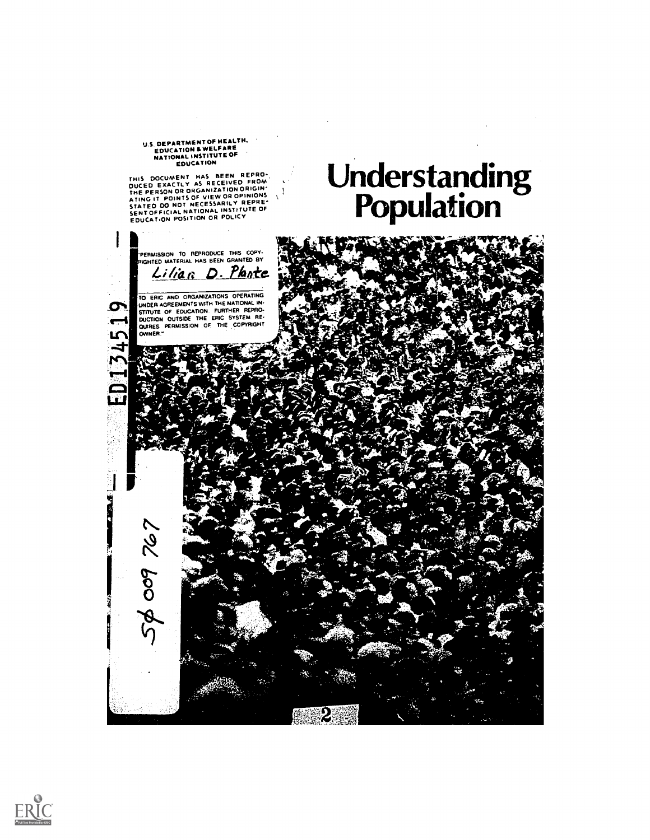# U.S. DEPARTMENT OF HEALTH.<br>EDUCATION & WELFARE<br>NATIONAL INSTITUTE OF<br>EDUCATION

THIS DOCUMENT HAS BEEN REPRO-<br>DUCED EXACTLY AS RECEIVED FROM<br>THE PERSON OR ORGANIZATION ORIGIN'<br>ATING IT POINTS OF VIEW OR OPINIONS<br>STATED DO NOT NECESSARILY REPRE-<br>SENICATION POSITION OR POLICY<br>EDUCATION POSITION OR POLIC

# Understanding Population **Population**



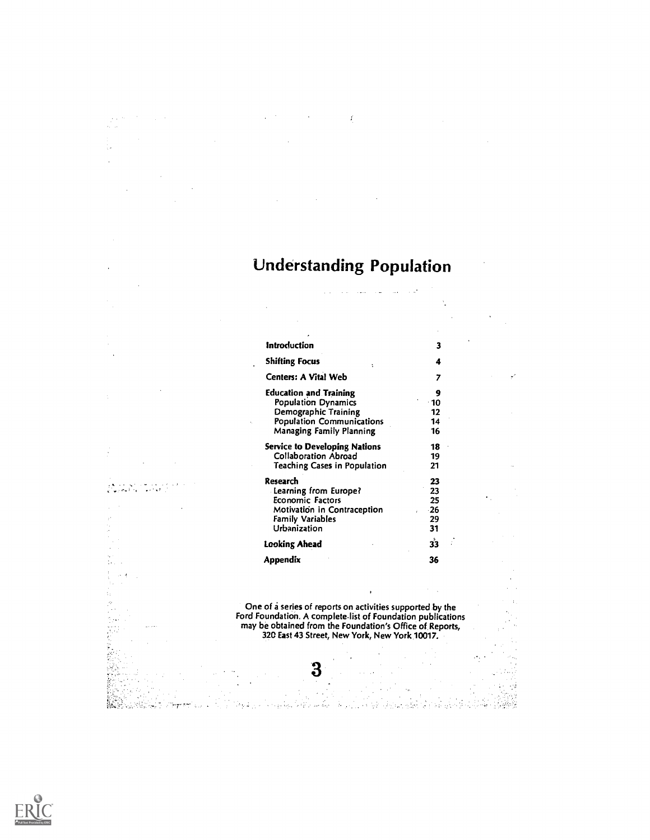# Understanding Population

 $\sim$   $\sim$ 

أساد المساريح والمستردع والأرادي

y.

 $\Delta$ 

 $\mathcal{A}_\mathrm{c}$  .

 $\vec{r}$ 

 $\mathcal{L}(\mathcal{F})$  and  $\mathcal{L}(\mathcal{F})$  .

 $\sim 10^{11}$ 

 $\sim$ 

 $\sim$ 

 $\sim$ 

 $\sim$ 

 $\frac{1}{2}$  ,  $\frac{1}{2}$ 

 $\bar{\gamma}$ 

l.

J.

t.  $\bar{A}$ 

 $\ddot{\phantom{a}}$ 

 $\bar{z}$  $\ddot{\phantom{a}}$ 

 $\bar{\beta}$ 

 $\frac{5}{4} \frac{2}{\sqrt{3}} \frac{1}{\sqrt{3}}$  $\sim$   $\lambda$ t.

 $\tilde{t}_1$ 

 $\beta$  $\mathbb{R}^{2\times 2}$ 

 $\mathcal{A}$  $\frac{1}{2}$ 

 $\sim$ 

الأمريكية المستحدة الأمريكي.<br>الرابع الأمريكية المستحدة المستحدة المر

 $\sim$   $t$ 

| <b>Introduction</b>                           | 3     |
|-----------------------------------------------|-------|
| <b>Shifting Focus</b><br>$\ddot{\phantom{a}}$ | 4     |
| Centers: A Vital Web                          | 7     |
| <b>Education and Training</b>                 | 9     |
| <b>Population Dynamics</b>                    | - 10  |
| Demographic Training                          | 12    |
| <b>Population Communications</b>              | 14    |
| Managing Family Planning                      | 16    |
| <b>Service to Developing Nations</b>          | 18    |
| <b>Collaboration Abroad</b>                   | 19    |
| <b>Teaching Cases in Population</b>           | 21    |
| Research                                      | 23    |
| Learning from Europe?                         | 23    |
| <b>Economic Factors</b>                       | 25    |
| Motivation in Contraception                   | $-26$ |
| <b>Family Variables</b>                       | 29    |
| Urbanization                                  | 31    |
| Looking Ahead                                 | 33    |
| Appendix                                      | 36    |

One of a series of reports on activities supported by the Ford Foundation. A complete-list of Foundation publications may be obtained from the Foundation's Office of Reports, 320 East 43 Street, New York, New York 10017.

 $\bar{\phantom{a}}$ 

 $\mathcal{F}_{\mathcal{A}}$ 

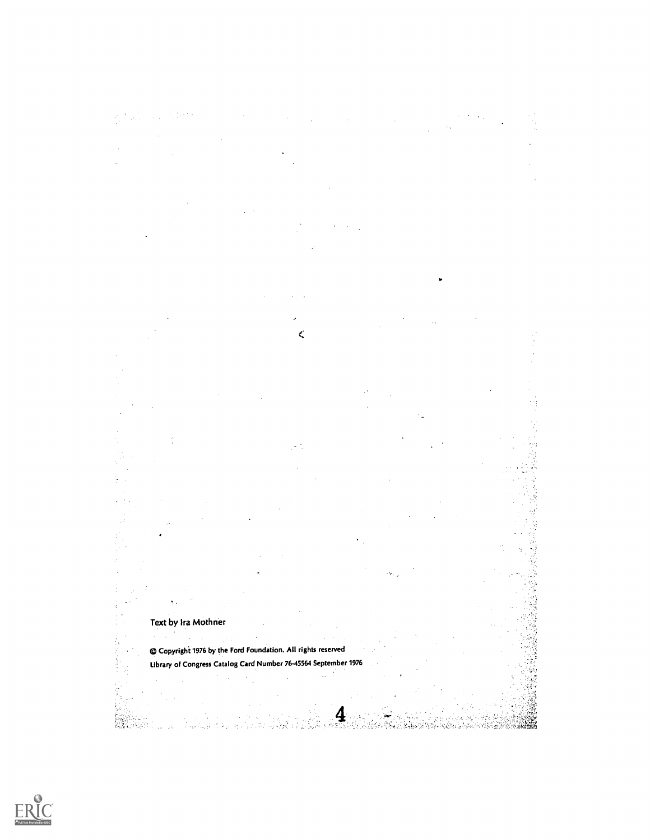| $\mathcal{L}(\mathcal{L}(\mathcal{L}(\mathcal{L}(\mathcal{L}(\mathcal{L}(\mathcal{L}(\mathcal{L}(\mathcal{L}(\mathcal{L}(\mathcal{L}(\mathcal{L}(\mathcal{L}(\mathcal{L}(\mathcal{L}(\mathcal{L}(\mathcal{L}(\mathcal{L}(\mathcal{L}(\mathcal{L}(\mathcal{L}(\mathcal{L}(\mathcal{L}(\mathcal{L}(\mathcal{L}(\mathcal{L}(\mathcal{L}(\mathcal{L}(\mathcal{L}(\mathcal{L}(\mathcal{L}(\mathcal{L}(\mathcal{L}(\mathcal{L}(\mathcal{L}(\mathcal{L}(\mathcal{$ |                                                                                              |                                                                                     |  |                                                                                                     |  |
|-------------------------------------------------------------------------------------------------------------------------------------------------------------------------------------------------------------------------------------------------------------------------------------------------------------------------------------------------------------------------------------------------------------------------------------------------------------|----------------------------------------------------------------------------------------------|-------------------------------------------------------------------------------------|--|-----------------------------------------------------------------------------------------------------|--|
| $\mathcal{L}(\mathcal{L}(\mathcal{L}(\mathcal{L}(\mathcal{L}(\mathcal{L}(\mathcal{L}(\mathcal{L}(\mathcal{L}(\mathcal{L}(\mathcal{L}(\mathcal{L}(\mathcal{L}(\mathcal{L}(\mathcal{L}(\mathcal{L}(\mathcal{L}(\mathcal{L}(\mathcal{L}(\mathcal{L}(\mathcal{L}(\mathcal{L}(\mathcal{L}(\mathcal{L}(\mathcal{L}(\mathcal{L}(\mathcal{L}(\mathcal{L}(\mathcal{L}(\mathcal{L}(\mathcal{L}(\mathcal{L}(\mathcal{L}(\mathcal{L}(\mathcal{L}(\mathcal{L}(\mathcal{$ |                                                                                              |                                                                                     |  |                                                                                                     |  |
|                                                                                                                                                                                                                                                                                                                                                                                                                                                             |                                                                                              |                                                                                     |  | the contract of the contract of the contract of the contract of the contract of the contract of the |  |
|                                                                                                                                                                                                                                                                                                                                                                                                                                                             |                                                                                              |                                                                                     |  |                                                                                                     |  |
|                                                                                                                                                                                                                                                                                                                                                                                                                                                             |                                                                                              | the contract of the contract of the contract of the contract of the contract of the |  |                                                                                                     |  |
|                                                                                                                                                                                                                                                                                                                                                                                                                                                             | the contract of the contract of the contract of the contract of the contract of              |                                                                                     |  |                                                                                                     |  |
|                                                                                                                                                                                                                                                                                                                                                                                                                                                             | the contract of the state of the contract of the contract of the contract of the contract of |                                                                                     |  |                                                                                                     |  |

 $\bar{z}$ 

J.



 $\bar{\phi}$ 

in vitin<br>Vitin Sub

s (bil

 $\frac{4}{\sqrt{2}}$ 

والكليان والأرادي

il Gine's

#### Text by Ira Mothner

أوربأ برد

J.

Í.

 $\cdot$  $\ddot{ }$  $\mathbf{r}$  $\mathcal{L}_{\mathcal{A}}$  $\lambda$ Copyrighi 1976 by the Ford Foundation. All rights reserved Library of Congress Catalog Card Number 76-45564 September 1976

έç,

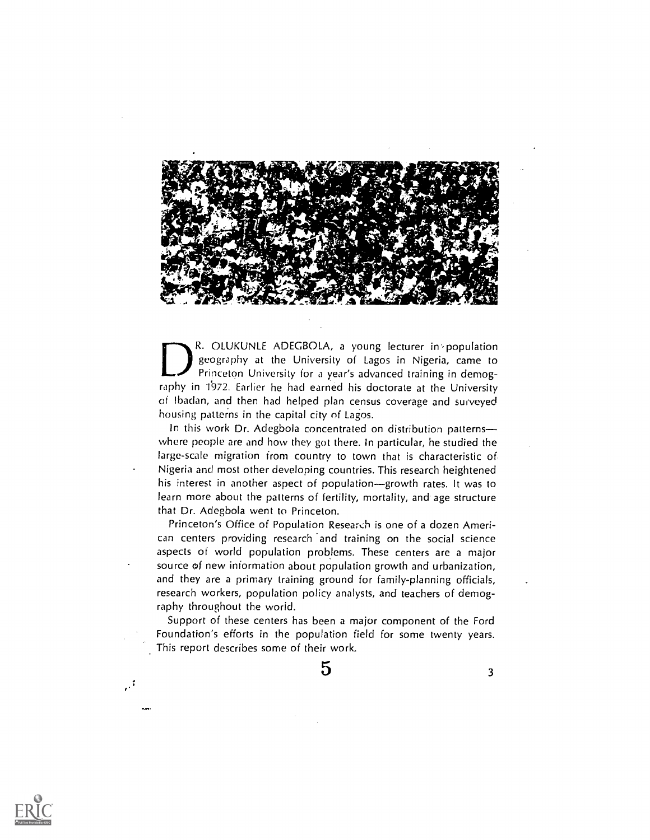

R. OLUKUNLE ADEGBOLA, a young lecturer in population geography at the University of Lagos in Nigeria, came to Princeton University for a year's advanced training in demography in 1972. Earlier he had earned his doctorate at the University of lbadan, and then had helped plan census coverage and surveyed housing patterns in the capital city of Lagos.

In this work Dr. Adegbola concentrated on distribution patterns where people are and how they got there. In particular, he studied the large-scale migration from country to town that is characteristic of Nigeria and most other developing countries. This research heightened his interest in another aspect of population-growth rates. It was to learn more about the patterns of fertility, mortality, and age structure that Dr. Adegbola went to Princeton.

Princeton's Office of Population Research is one of a dozen American centers providing research and training on the social science aspects of world population problems. These centers are a major source of new information about population growth and urbanization, and they are a primary training ground for family-planning officials, research workers, population policy analysts, and teachers of demography throughout the worid.

Support of these centers has been a major component of the Ford Foundation's efforts in the population field for some twenty years. This report describes some of their work.

 $5 \t3$ 



;,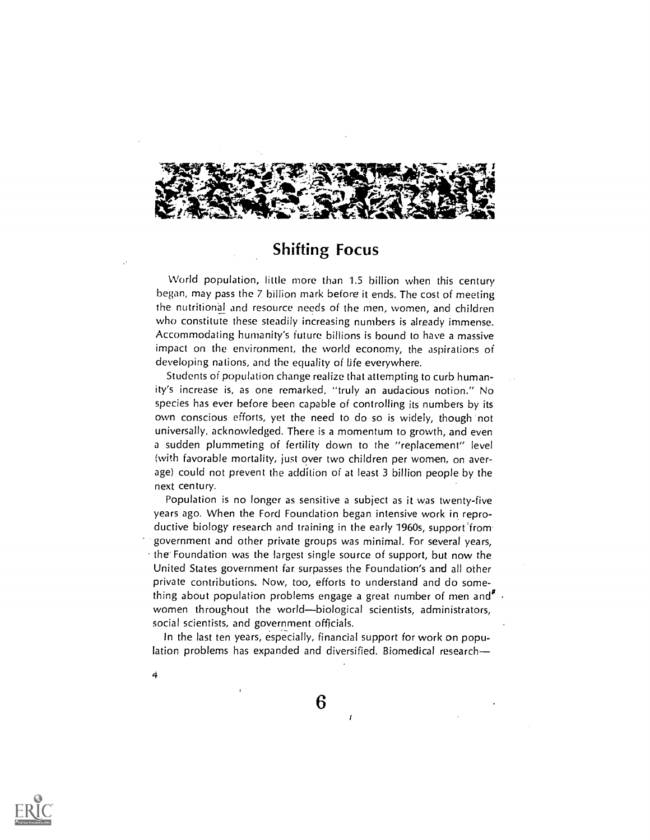

## Shifting Focus

World population, little more than 1.5 billion when this century began, may pass the 7 billion mark before it ends. The cost of meeting the nutritional and resource needs of the men, women, and children who constitute these steadily increasing numbers is already immense. Accommodating humanity's future billions is bound to have a massive impact on the environment, the world economy, the aspirations of developing nations, and the equality of life everywhere.

Students of population change realize that attempting to curb humanity's increase is, as one remarked, "truly an audacious notion." No species has ever before been capable of controlling its numbers by its own conscious efforts, yet the need to do so is widely, though not universally, acknowledged. There is a momentum to growth, and even a sudden plummeting of fertility down to the "replacement" level (with favorable mortality, just over two children per women, on average) could not prevent the addition of at least 3 billion people by the next century.

Population is no longer as sensitive a subject as it was twenty-five years ago. When the Ford Foundation began intensive work in reproductive biology research and training in the early 1960s, support 'from government and other private groups was minimal. For several years,  $\cdot$  the Foundation was the largest single source of support, but now the United States government far surpasses the Foundation's and all other private contributions. Now, too, efforts to understand and do something about population problems engage a great number of men and  $\mathbf{F}$ . women throughout the world--biological scientists, administrators, social scientists, and government officials.

In the last ten years, especially, financial support for work on population problems has expanded and diversified. Biomedical research-



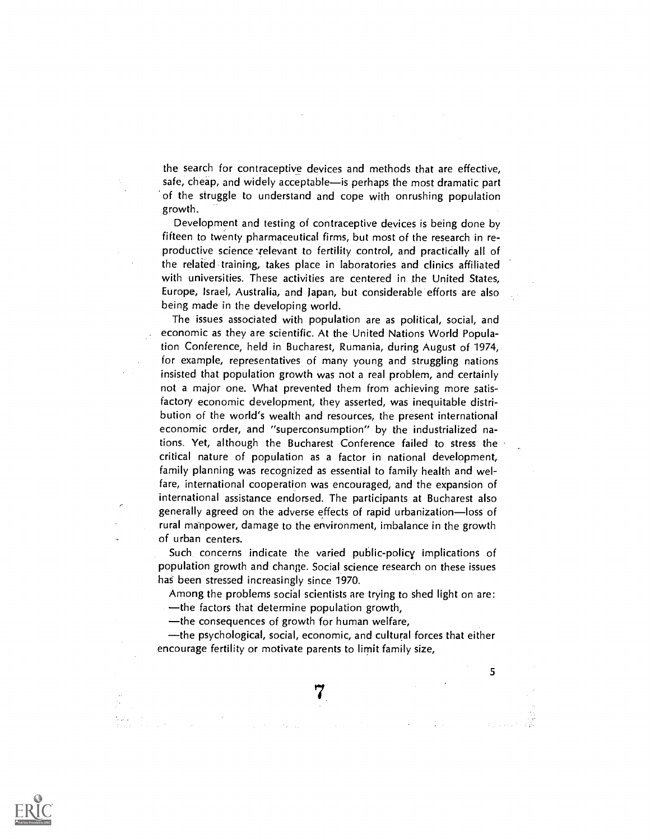the search for contraceptive devices and methods that are effective, safe, cheap, and widely acceptable—is perhaps the most dramatic part of the struggle to understand and cope with onrushing population growth.

Development and testing of contraceptive devices is being done by fifteen to twenty pharmaceutical firms, but most of the research in reproductive science relevant to fertility control, and practically all of the related training, takes place in laboratories and clinics affiliated with universities. These activities are centered in the United States, Europe, Israel, Australia, and Japan, but considerable efforts are also being made in the developing world.

The issues associated with population are as political, social, and economic as they are scientific. At the United Nations World Population Conference, held in Bucharest, Rumania, during August of 1974, for example, representatives of many young and struggling nations insisted that population growth was not a real problem, and certainly not a major one. What prevented them from achieving more satisfactory economic development, they asserted, was inequitable distribution of the world's wealth and resources, the present international economic order, and "superconsumption" by the industrialized nations. Yet, although the Bucharest Conference failed to stress the critical nature of population as a factor in national development, family planning was recognized as essential to family health and welfare, international cooperation was encouraged, and the expansion of international assistance endorsed. The participants at Bucharest also generally agreed on the adverse effects of rapid urbanization-loss of rural manpower, damage to the environment, imbalance in the growth of urban centers.

Such concerns indicate the varied public-policy implications of population growth and change. Social science research on these issues has been stressed increasingly since 1970.

Among the problems social scientists are trying to shed light on are:  $-$ the factors that determine population growth,

the consequences of growth for human welfare,

the psychological, social, economic, and cultural forces that either encourage fertility or motivate parents to limit family size,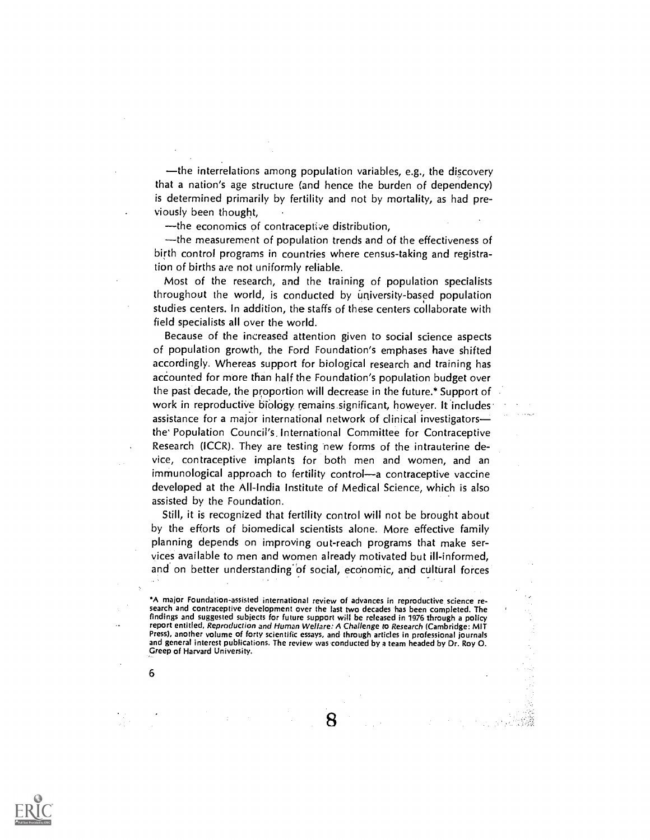$\rightarrow$  the interrelations among population variables, e.g., the discovery that a nation's age structure (and hence the burden of dependency) is determined primarily by fertility and not by mortality, as had previously been thought,

the economics of contraceptive distribution,

the measurement of population trends and of the effectiveness of birth control programs in countries where census-taking and registration of births are not uniformly reliable.

Most of the research, and the training of population specialists throughout the world, is conducted by university-based population studies centers. In addition, the staffs of these centers collaborate with field specialists all over the world.

Because of the increased attention given to social science aspects of population growth, the Ford Foundation's emphases have shifted accordingly. Whereas support for biological research and training has accounted for more than half the Foundation's population budget over the past decade, the proportion will decrease in the future.\* Support of work in reproductive biology remains significant, however. It includes assistance for a major international network of clinical investigators the' Population Council's. International Committee for Contraceptive Research (ICCR). They are testing new forms of the intrauterine device, contraceptive implants for both men and women, and an immunological approach to fertility control—a contraceptive vaccine developed at the All-India Institute of Medical Science, which is also assisted by the Foundation.

Still, it is recognized that fertility control will not be brought about by the efforts of biomedical scientists alone. More effective family planning depends on improving out-reach programs that make services available to men and women akeady motivated but ill-informed, and on better understanding of social, economic, and cultural forces

\*A major Foundation-assisted international review of advances in reproductive science research and contraceptive development over the last two decades has been completed. The findings and suggested subjects for future support will be released in 1976 through a policy report entitled, Reproduction and Human Welfare: A Challenge to Research (Cambridge: MIT Press), another volume of forty scientific essays, and through articles in professional journals and general interest publications. The review was conducted by a team headed by Dr. Roy O. Creep of Harvard University.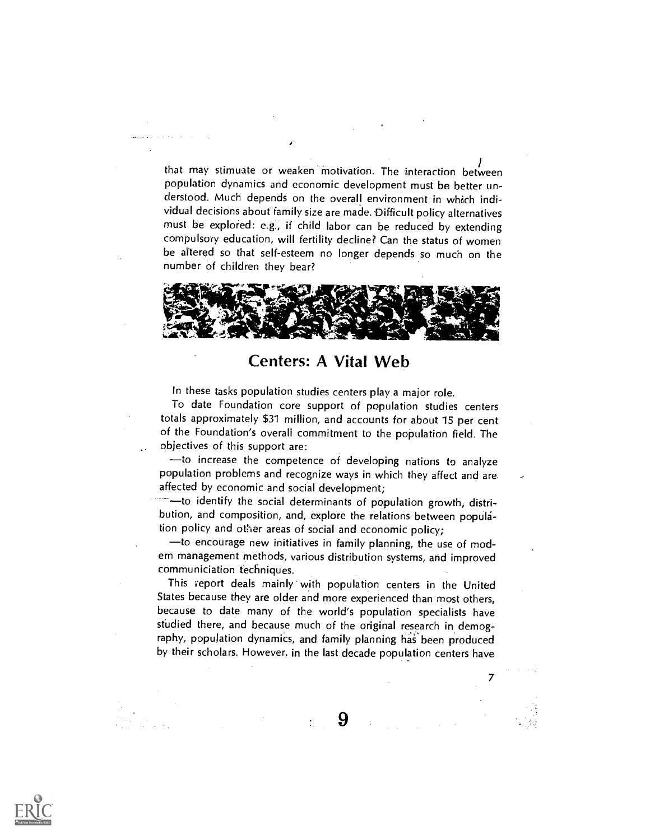that may stimuate or weaken motivation. The interaction between population dynamics and economic development must be better understood. Much depends on the overall environment in which individual decisions about family size are made. Difficult policy alternatives must be explored: e.g., if child labor can be reduced by extending compulsory education, will fertility decline? Can the status of women be altered so that self-esteem no longer depends so much on the number of children they bear?



#### Centers: A Vital Web

In these tasks population studies centers play a major role.

To date Foundation core support of population studies centers totals approximately \$31 million, and accounts for about 15 per cent of the Foundation's overall commitment to the population field. The objectives of this support are:

to increase the competence of developing nations to analyze population problems and recognize ways in which they affect and are affected by economic and social development;

--to identify the social determinants of population growth, distribution, and composition, and, explore the relations between population policy and other areas of social and economic policy;

- to encourage new initiatives in family planning, the use of modern management methods, various distribution systems, and improved communiciation techniques.

This report deals mainly with population centers in the United States because they are older and more experienced than most others, because to date many of the world's population specialists have studied there, and because much of the original research in demography, population dynamics, and family planning has been produced by their scholars. However, in the last decade population centers have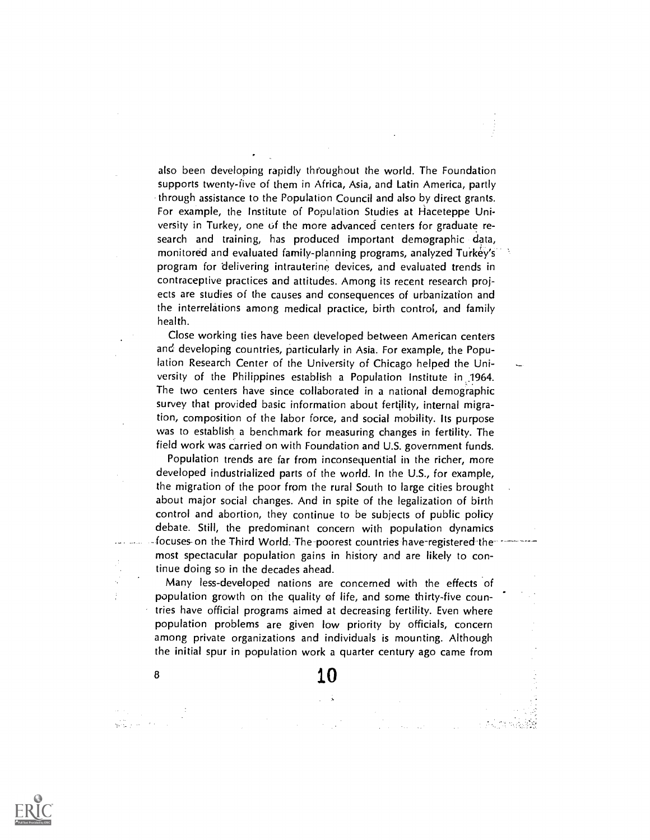also been developing rapidly throughout the world. The Foundation supports twenty-five of them in Africa, Asia, and Latin America, partly through assistance to the Population Council and also by direct grants. For example, the Institute of Population Studies at Haceteppe University in Turkey, one of the more advanced centers for graduate research and training, has produced important demographic data, monitored and evaluated family-planning programs, analyzed Turkey's program for delivering intrauterine devices, and evaluated trends in contraceptive practices and attitudes. Among its recent research projects are studies of the causes and consequences of urbanization and the interrelations among medical practice, birth control, and family health.

Close working ties have been developed between American centers and developing countries, particularly in Asia. For example, the Population Research Center of the University of Chicago helped the University of the Philippines establish a Population Institute in .1964. The two centers have since collaborated in a national demographic survey that provided basic information about fertility, internal migration, composition of the labor force, and social mobility. Its purpose was to establish a benchmark for measuring changes in fertility. The field work was carried on with Foundation and U.S. government funds.

Population trends are far from inconsequential in the richer, more developed industrialized parts of the world. In the U.S., for example, the migration of the poor from the rural South to large cities brought about major social changes. And in spite of the legalization of birth control and abortion, they continue to be subjects of public policy debate. Still, the predominant concern with population dynamics focuses- on the Third World. The-poorest countries have-registered the most spectacular population gains in history and are likely to continue doing so in the decades ahead.

Many less-developed nations are concerned with the effects of population growth on the quality of fife, and some thirty-five countries have official programs aimed at decreasing fertility. Even where population problems are given low priority by officials, concern among private organizations and individuals is mounting. Although the initial spur in population work a quarter century ago came from

 $\frac{10}{10}$ 

an Silver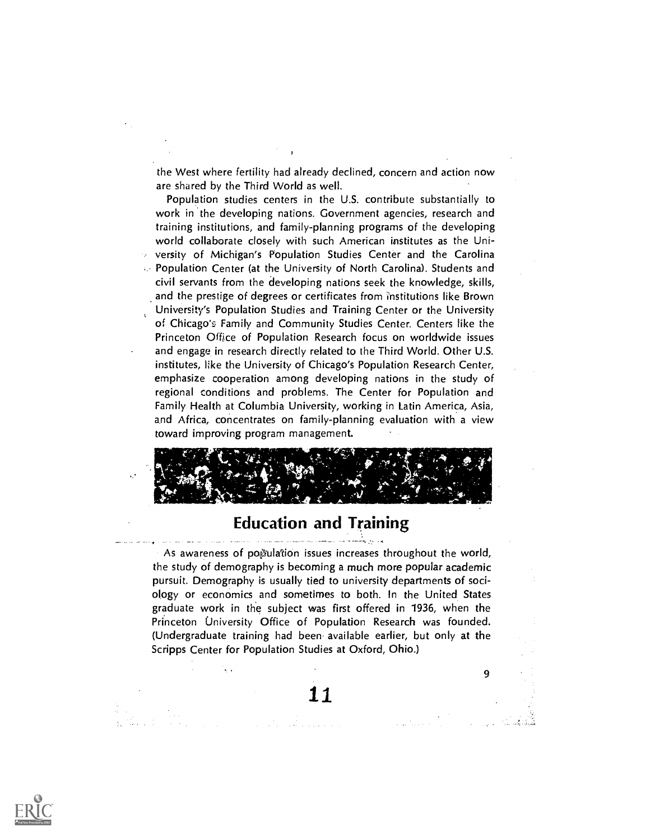the West where fertility had already declined, concern and action now are shared by the Third World as well.

Population studies centers in the U.S. contribute substantially to work in the developing nations. Government agencies, research and training institutions, and family-planning programs of the developing world collaborate closely with such American institutes as the University of Michigan's Population Studies Center and the Carolina Population Center (at the University of North Carolina). Students and civil servants from the developing nations seek the knowledge, skills, and the prestige of degrees or certificates from institutions like Brown University's Population Studies and Training Center or the University of Chicago's Family and Community Studies Center. Centers like the Princeton Office of Population Research focus on worldwide issues and engage in research directly related to the Third World. Other U.S. institutes, like the University of Chicago's Population Research Center, emphasize cooperation among developing nations in the study of regional conditions and problems. The Center for Population and Family Health at Columbia University, working in Latin America, Asia, and Africa, concentrates on family-planning evaluation with a view toward improving program management.



#### Education and Training

As awareness of pogulation issues increases throughout the world, the study of demography is becoming a much more popular academic pursuit. Demography is usually tied to university departments of sociology or economics and sometimes to both. In the United States graduate work in the subject was first offered in 1936, when the Princeton University Office of Population Research was founded. (Undergraduate training had been available earlier, but only at the Scripps Center for Population Studies at Oxford, Ohio.)

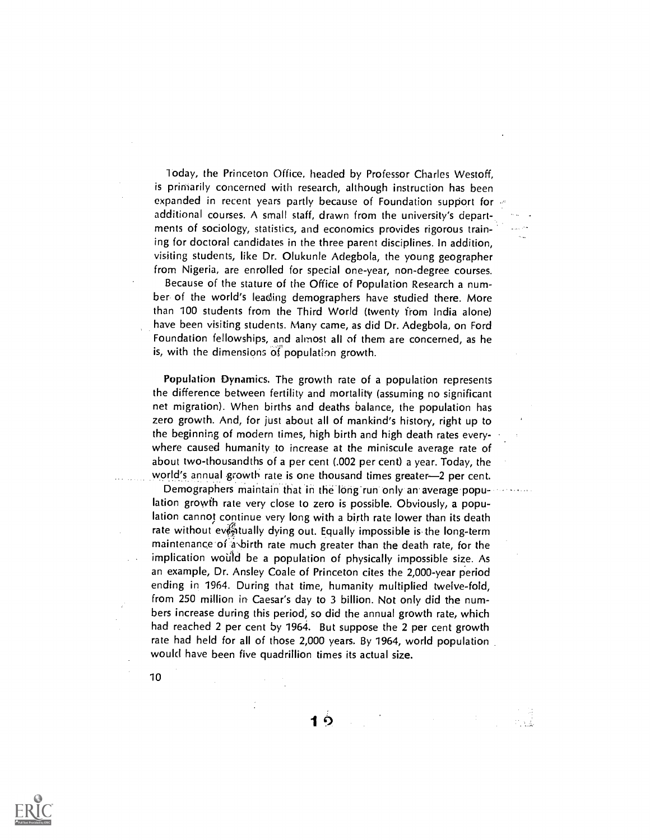1 oday, the Princeton Office, headed by Professor Charles Westoff, is primarily concerned with research, although instruction has been expanded in recent years partly because of Foundation support for additional courses. A small staff, drawn from the university's departments of sociology, statistics, and economics provides rigorous training for doctoral candidates in the three parent disciplines. In addition, visiting students, like Dr. Olukunle Adegbola, the young geographer from Nigeria, are enrolled for special one-year, non-degree courses. Because of the stature of the Office of Population Research a number of the world's leading demographers have studied there. More than 100 students from the Third World (twenty from India alone) have been visiting students. Many came, as did Dr. Adegbola, on Ford Foundation fellowships, and almost all of them are concerned, as he is, with the dimensions Of population growth.

Population Dynamics. The growth rate of a population represents the difference between fertility and mortality (assuming no significant net migration). When births and deaths balance, the population has zero growth. And, for just about all of mankind's history, right up to the beginning of modern times, high birth and high death rates everywhere caused humanity to increase at the miniscule average rate of about two-thousandths of a per cent (.002 per cent) a year. Today, the world's annual growth rate is one thousand times greater-2 per cent.

Demographers maintain that in the long run only an average population growth rate very close to zero is possible. Obviously, a population cannot continue very long with a birth rate lower than its death rate without eventually dying out. Equally impossible is the long-term maintenance of a birth rate much greater than the death rate, for the implication would be a population of physically impossible size. As an example, Dr. Ansley Coale of Princeton cites the 2,000-year period ending in 1964. During that time, humanity multiplied twelve-fold, from 250 million in Caesar's day to 3 billion. Not only did the numbers increase during this period; so did the annual growth rate, which had reached 2 per cent by 1964. But suppose the 2 per cent growth rate had held for all of those 2,000 years. By 1964, world population would have been five quadrillion times its actual size.

1り



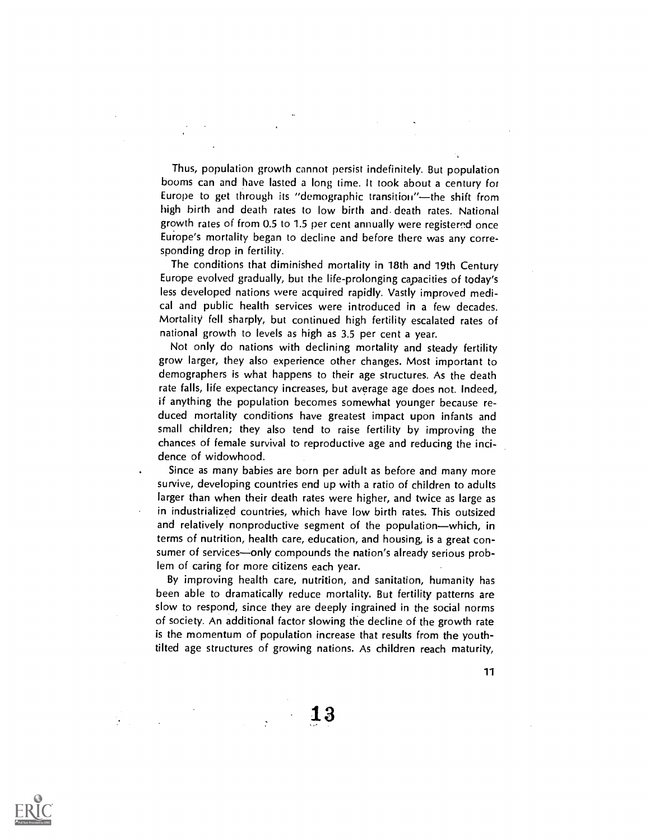Thus, population growth cannot persist indefinitely. But population booms can and have lasted a long time. It took about a century for Europe to get through its "demographic transition"-the shift from high birth and death rates to low birth and- death rates. National growth rates of from 0.5 to 1.5 per cent annually were registered once Europe's mortality began to decline and before there was any corresponding drop in fertility.

The conditions that diminished mortality in 18th and 19th Century Europe evolved gradually, but the life-prolonging capacities of today's less developed nations were acquired rapidly. Vastly improved medical and public health services were introduced in a few decades. Mortality fell sharply, but continued high fertility escalated rates of national growth to levels as high as 3.5 per cent a year.

Not only do nations with declining mortality and steady fertility grow larger, they also experience other changes. Most important to demographers is what happens to their age structures. As the death rate falls, life expectancy increases, but average age does not. Indeed, if anything the population becomes somewhat younger because reduced mortality conditions have greatest impact upon infants and small children; they also tend to raise fertility by improving the chances of female survival to reproductive age and reducing the incidence of widowhood.

Since as many babies are born per adult as before and many more survive, developing countries end up with a ratio of children to adults larger than when their death rates were higher, and twice as large as in industrialized countries, which have low birth rates. This outsized and relatively nonproductive segment of the population-which, in terms of nutrition, health care, education, and housing, is a great consumer of services-only compounds the nation's already serious problem of caring for more citizens each year.

By improving health care, nutrition, and sanitation, humanity has been able to dramatically reduce mortality. But fertility patterns are slow to respond, since they are deeply ingrained in the social norms of society. An additional factor slowing the decline of the growth rate is the momentum of population increase that results from the youthtilted age structures of growing nations. As children reach maturity,

11

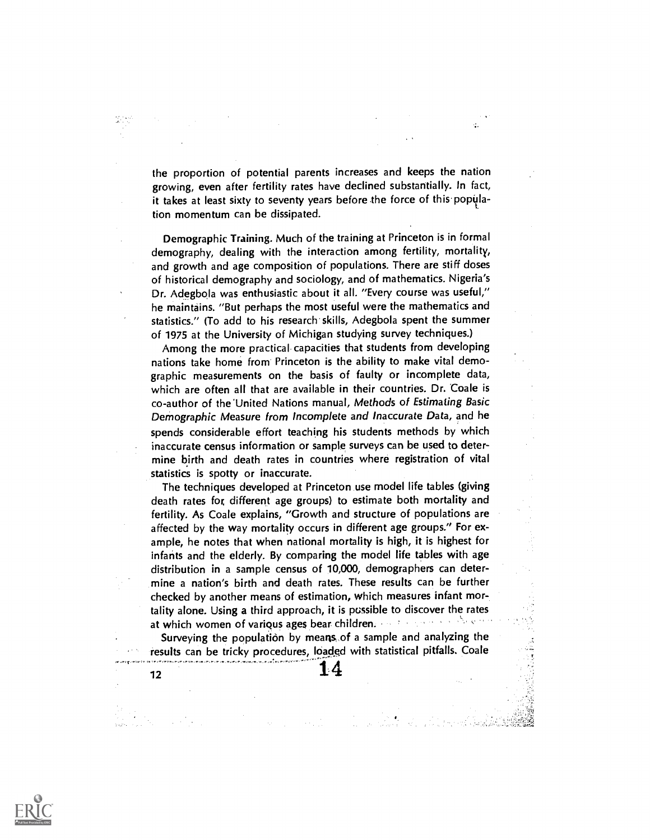the proportion of potential parents increases and keeps the nation growing, even after fertility rates have declined substantially. In fact, it takes at least sixty to seventy years before the force of this popillation momentum can be dissipated.

Æ.

S.

Demographic Training. Much of the training at Princeton is in formal demography, dealing with the interaction among fertility, mortality, and growth and age composition of populations. There are stiff doses of historical demography and sociology, and of mathematics. Nigeria's Dr. Adegbola was enthusiastic about it all. "Every course was useful," he maintains. "But perhaps the most useful were the mathematics and statistics." (To add to his research skills, Adegbola spent the summer of 1975 at the University of Michigan studying survey techniques.)

Among the more practical capacities that students from developing nations take home from Princeton is the ability to make vital demographic measurements on the basis of faulty or incomplete data, which are often all that are available in their countries. Dr. Coale is co-author of the'United Nations manual, Methods of Estimating Basic Demographic Measure from Incomplete and Inaccurate Data, and he spends considerable effort teaching his students methods by which inaccurate census information or sample surveys can be used to determine birth and death rates in countries where registration of vital statistics is spotty or inaccurate.

The techniques developed at Princeton use model life tables (giving death rates for, different age groups) to estimate both mortality and fertility. As Coale explains, "Growth and structure of populations are affected by the way mortality occurs in different age groups." For example, he notes that when national mortality is high, it is highest for infants and the elderly. By comparing the model life tables with age distribution in a sample census of 10,000, demographers can determine a nation's birth and death rates. These results can be further checked by another means of estimation, which measures infant mortality alone. Using a third approach, it is possible to discover the rates at which women of various ages bear children. The state of the state

Surveying the population by means, of a sample and analyzing the results can be tricky procedures, loaded with statistical pitfalls. Coale

 $\frac{1}{4}$ 

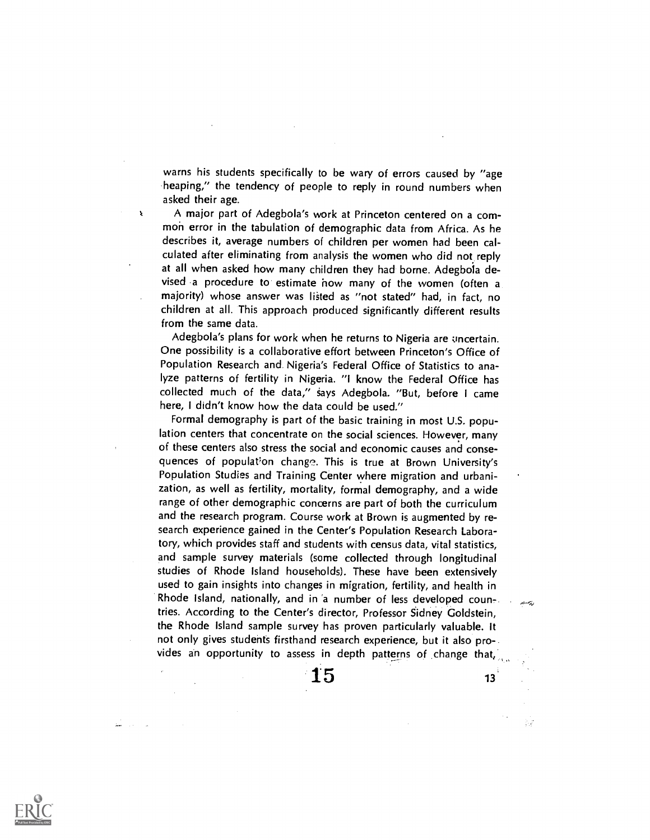warns his students specifically to be wary of errors caused by "age heaping," the tendency of people to reply in round numbers when asked their age.

 $\pmb{\chi}$ 

A major part of Adegbola's work at Princeton centered on a common error in the tabulation of demographic data from Africa. As he describes it, average numbers of children per women had been calculated after eliminating from analysis the women who did not reply at all when asked how many children they had borne. Adegboia devised a procedure to estimate how many of the women (often a majority) whose answer was listed as "not stated" had, in fact, no children at all. This approach produced significantly different results from the same data.

Adegbola's plans for work when he returns to Nigeria are uncertain. One possibility is a collaborative effort between Princeton's Office of Population Research and Nigeria's Federal Office of Statistics to analyze patterns of fertility in Nigeria. "I know the Federal Office has collected much of the data," gays Adegbola. "But, before I came here, I didn't know how the data could be used."

Formal demography is part of the basic training in most U.S. population centers that concentrate on the social sciences. However, many of these centers also stress the social and economic causes and consequences of population change. This is true at Brown University's Population Studies and Training Center where migration and urbanization, as well as fertility, mortality, formal demography, and a wide range of other demographic concerns are part of both the curriculum and the research program. Course work at Brown is augmented by research experience gained in the Center's Population Research Laboratory, which provides staff and students with census data, vital statistics, and sample survey materials (some collected through longitudinal studies of Rhode Island households). These have been extensively used to gain insights into changes in migration, fertility, and health in Rhode Island, nationally, and in 'a number of less developed countries. According to the Center's director, Professor Sidney Goldstein, the Rhode Island sample survey has proven particularly valuable. It not only gives students firsthand research experience, but it also provides an opportunity to assess in depth patterns of change that,



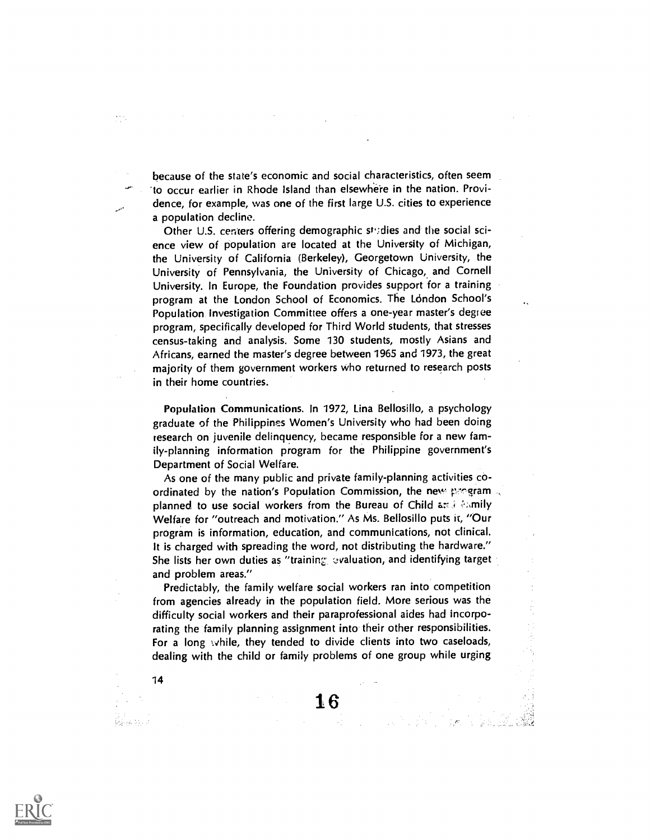because of the state's economic and social characteristics, often seem 'to occur earlier in Rhode Island than elsewhe're in the nation. Providence, for example, was one of the first large U.S. cities to experience a population decline.

Other U.S. centers offering demographic studies and the social science view of population are located at the University of Michigan, the University of California (Berkeley), Georgetown University, the University of Pennsylvania, the University of Chicago, and Cornell University. In Europe, the Foundation provides support for a training program at the London School of Economics. The London School's Population Investigation Committee offers a one-year master's degree program, specifically developed for Third World students, that stresses census-taking and analysis. Some 130 students, mostly Asians and Africans, earned the master's degree between 1965 and 1973, the great majority of them government workers who returned to research posts in their home countries.

Population Communications. In 1972, Lina Bellosillo, a psychology graduate of the Philippines Women's University who had been doing research on juvenile delinquency, became responsible for a new family-planning information program for the Philippine government's Department of Social Welfare.

As one of the many public and private family-planning activities coordinated by the nation's Population Commission, the new pregram planned to use social workers from the Bureau of Child and exmily Welfare for "outreach and motivation." As Ms. Bellosillo puts it, "Our program is information, education, and communications, not clinical. It is charged with spreading the word, not distributing the hardware." She lists her own duties as "training evaluation, and identifying target and problem areas."

Predictably, the family welfare social workers ran into competition from agencies already in the population field. More serious was the difficulty social workers and their paraprofessional aides had incorporating the family planning assignment into their other responsibilities. For a long while, they tended to divide clients into two caseloads, dealing with the child or family problems of one group while urging

 $16$ 



14

ى ئالا ھاياھا

MA.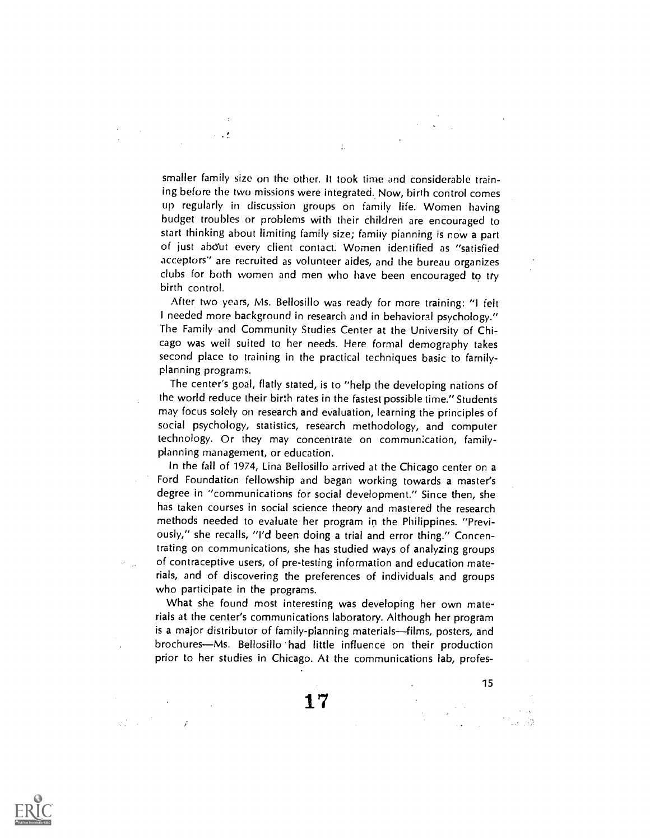smaller family size on the other. It took time and considerable training before the two missions were integrated. Now, birth control comes up regularly in discussion groups on family life. Women having budget troubles or problems with their children are encouraged to start thinking about limiting family size; family pianning is now a part of just abdut every client contact. Women identified as "satisfied acceptors" are recruited as volunteer aides, and the bureau organizes dubs for both women and men who have been encouraged to tty birth control.

 $\mathbf{t}$ 

 $\sim$  ,  $\Lambda$ 

After two years, Ms. Bellosillo was ready for more training: "I felt I needed more background in research and in behavioral psychology." The Family and Community Studies Center at the University of Chicago was well suited to her needs. Here formal demography takes second place to training in the practical techniques basic to familyplanning programs.

The center's goal, flatly stated, is to "help the developing nations of the world reduce their birth rates in the fastest possible time." Students may focus solely on research and evaluation, learning the principles of social psychology, statistics, research methodology, and computer technology. Or they may concentrate on commun:cation, familyplanning management, or education.

In the fall of 1974, Lina Bellosillo arrived at the Chicago center on a Ford Foundation fellowship and began working towards a master's degree in "communications for social development." Since then, she has taken courses in social science theory and mastered the research methods needed to evaluate her program in the Philippines. "Previously," she recalls, "I'd been doing a trial and error thing." Concentrating on communications, she has studied ways of analyzing groups of contraceptive users, of pre-testing information and education materials, and of discovering the preferences of individuals and groups who participate in the programs.

What she found most interesting was developing her own materials at the center's communications laboratory. Although her program is a major distributor of family-planning materials-films, posters, and brochures—Ms. Bellosillo had little influence on their production prior to her studies in Chicago. At the communications lab, profes-

 $\mathcal{L}^{(2)}_{\text{max}}$  .

 $\mathcal{L}$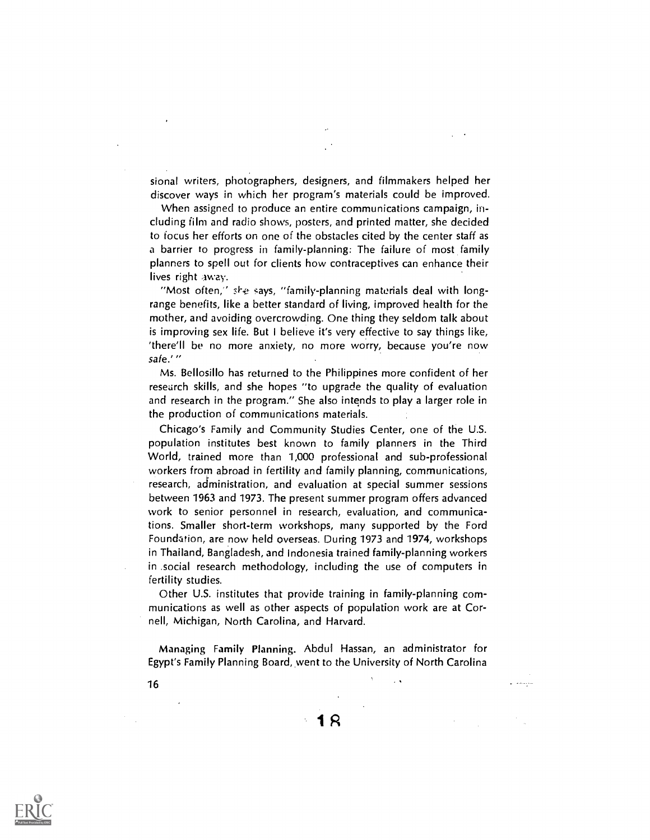sional writers, photographers, designers, and filmmakers helped her discover ways in which her program's materials could be improved.

When assigned to produce an entire communications campaign, including film and radio shows, posters, and printed matter, she decided to focus her efforts on one of the obstacles cited by the center staff as a barrier to progress in family-planning: The failure of most family planners to spell out for clients how contraceptives can enhance their lives right away.

"Most often,"  $s_{12}$  says, "family-planning materials deal with longrange benefits, like a better standard of living, improved health for the mother, and avoiding overcrowding. One thing they seldom talk about is improving sex life. But I believe it's very effective to say things like, 'there'll be no more anxiety, no more worry, because you're now safe.'"

Ms. Bellosillo has returned to the Philippines more confident of her research skills, and she hopes "to upgrade the quality of evaluation and research in the program." She also intends to play a larger role in the production of communications materials.

Chicago's Family and Community Studies Center, one of the U.S. population institutes best known to family planners in the Third World, trained more than 1,000 professional and sub-professional workers from abroad in fertility and family planning, communications, research, administration, and evaluation at special summer sessions between 1963 and 1973. The present summer program offers advanced work to senior personnel in research, evaluation, and communications. Smaller short-term workshops, many supported by the Ford Foundarion, are now held overseas. During 1973 and 1974, workshops in Thailand, Bangladesh, and Indonesia trained family-planning workers in .social research methodology, including the use of computers in fertility studies.

Other U.S. institutes that provide training in family-planning communications as well as other aspects of population work are at Cornell, Michigan, North Carolina, and Harvard.

Managing Family Planning. Abdul Hassan, an administrator for Egypt's Family Planning Board, went to the University of North Carolina

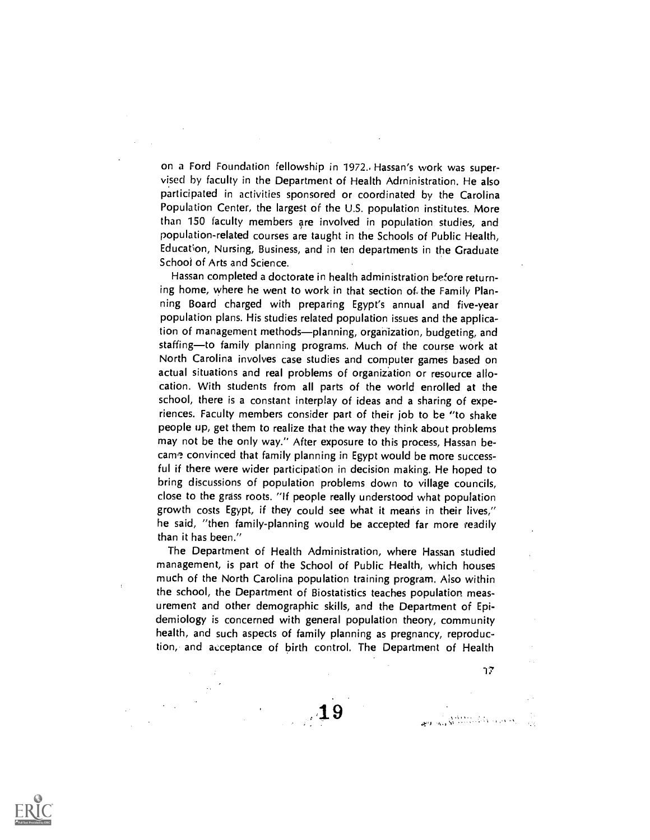on a Ford Foundation fellowship in 1972.. Hassan's work was supervised by faculty in the Department of Health Administration. He also participated in activities sponsored or coordinated by the Carolina Population Center, the largest of the U.S. population institutes. More than 150 faculty members are involved in population studies, and population-related courses are taught in the Schools of Public Health, Education, Nursing, Business, and in ten departments in the Graduate School of Arts and Science.

Hassan completed a doctorate in health administration before returning home, where he went to work in that section of the Family Planning Board charged with preparing Egypt's annual and five-year population plans. His studies related population issues and the application of management methods—planning, organization, budgeting, and staffing—to family planning programs. Much of the course work at North Carolina involves case studies and computer games based on actual situations and real problems of organization or resource allocation. With students from all parts of the world enrolled at the school, there is a constant interplay of ideas and a sharing of experiences. Faculty members consider part of their job to be "to shake people up, get them to realize that the way they think about problems may not be the only way." After exposure to this process, Hassan became convinced that family planning in Egypt would be more successful if there were wider participation in decision making. He hoped to bring discussions of population problems down to village councils, close to the grass roots. "If people really understood what population growth costs Egypt, if they could see what it means in their lives," he said, "then family-planning would be accepted far more readily than it has been."

The Department of Health Administration, where Hassan studied management, is part of the School of Public Health, which houses much of the North Carolina population training program. Also within the school, the Department of Biostatistics teaches population measurement and other demographic skills, and the Department of Epidemiology is concerned with general population theory, community health, and such aspects of family planning as pregnancy, reproduction, and acceptance of birth control. The Department of Health

 $77$ 



:3;`, A,1N,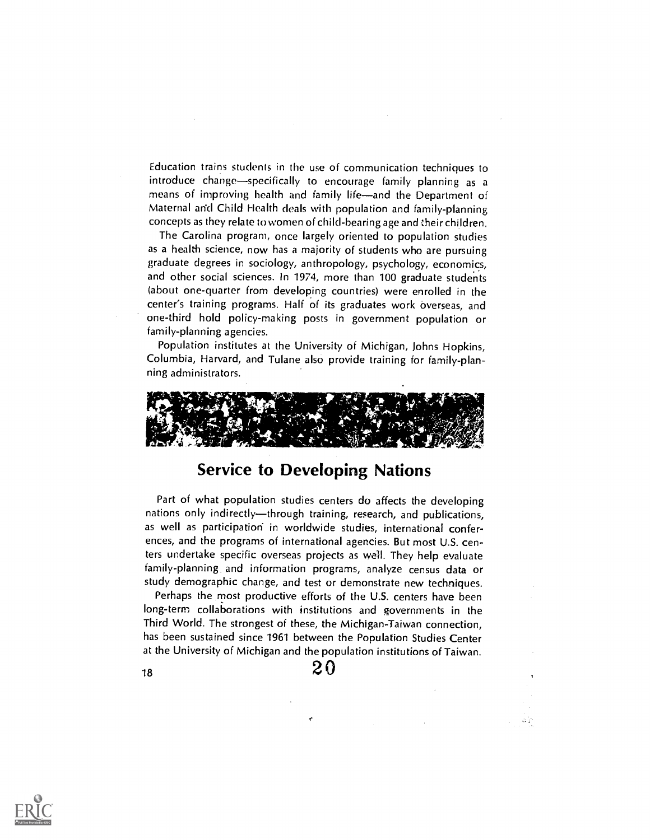Education trains students in the use of communication techniques to introduce change-specifically to encourage family planning as a means of improving health and family life-and the Department of Maternal arid Child Health deals with population and family-planning concepts as they relate to women of child-bearing age and their children.

The Carolina program, once largely oriented to population studies as a health science, now has a majority of students who are pursuing graduate degrees in sociology, anthropology, psychology, economics, and other social sciences. In 1974, more than 100 graduate students (about one-quarter from developing countries) were enrolled in the center's training programs. Half of its graduates work Overseas, and one-third hold policy-making posts in government population or family-planning agencies.

Population institutes at the University of Michigan, Johns Hopkins, Columbia, Harvard, and Tulane also provide training for family-planning administrators.



## Service to Developing Nations

Part of what population studies centers do affects the developing nations only indirectly—through training, research, and publications, as well as participation in worldwide studies, international conferences, and the programs of international agencies. But most U.S. centers undertake specific overseas projects as well. They help evaluate family-planning and information programs, analyze census data or study demographic change, and test or demonstrate new techniques.

Perhaps the most productive efforts of the U.S. centers have been long-term collaborations with institutions and governments in the Third World. The strongest of these, the Michigan-Taiwan connection, has been sustained since 1961 between the Population Studies Center at the University of Michigan and the population institutions of Taiwan.

жÇ

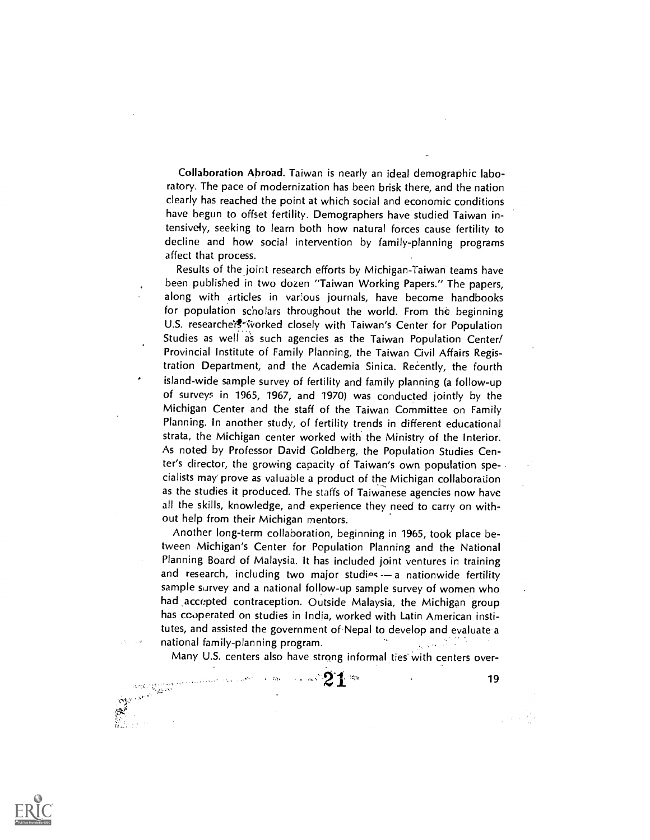Collaboration Abroad. Taiwan is nearly an ideal demographic laboratory. The pace of modernization has been brisk there, and the nation clearly has reached the point at which social and economic conditions have begun to offset fertility. Demographers have studied Taiwan intensive4y, seeking to learn both how natural forces cause fertility to decline and how social intervention by family-planning programs affect that process.

Results of the joint research efforts by Michigan-Taiwan teams have been published in two dozen "Taiwan Working Papers." The papers, along with articles in various journals, have become handbooks for population scholars throughout the world. From the beginning U.S. researche's<sup>e</sup> worked closely with Taiwan's Center for Population Studies as well as such agencies as the Taiwan Population Center/ Provincial Institute of Family Planning, the Taiwan Civil Affairs Registration Department, and the Academia Sinica. Recently, the fourth island-wide sample survey of fertility and family planning (a follow-up of surveys in 1965, 1967, and 1970) was conducted jointly by the Michigan Center and the staff of the Taiwan Committee on Family Planning. In another study, of fertility trends in different educational strata, the Michigan center worked with the Ministry of the Interior. As noted by Professor David Goldberg, the Population Studies Center's director, the growing capacity of Taiwan's own population specialists may prove as valuable a product of the Michigan collaboraiion as the studies it produced. The staffs of Taiwanese agencies now have all the skills, knowledge, and experience they need to carry on without help from their Michigan mentors.

Another long-term collaboration, beginning in 1965, took place between Michigan's Center for Population Planning and the National Planning Board of Malaysia. It has included joint ventures in training and research, including two major studies  $-$  a nationwide fertility sample survey and a national follow-up sample survey of women who had accepted contraception. Outside Malaysia, the Michigan group has cooperated on studies in India, worked with Latin American institutes, and assisted the government of Nepal to develop and evaluate a national family-planning program.

Many U.S. centers also have strong informal ties with centers over-

 $\sim -650$ 



where  $21$  and  $19$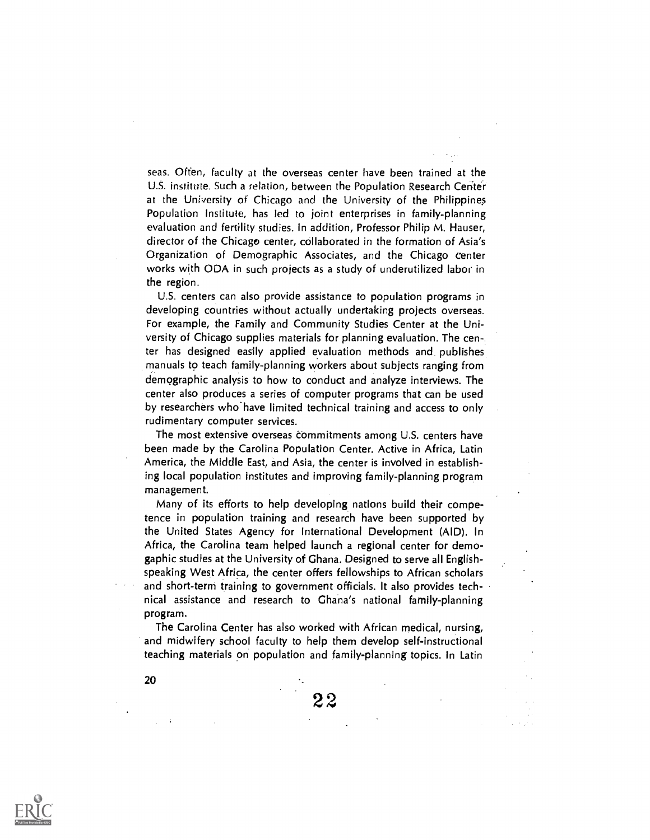seas. Offen, faculty at the overseas center have been trained at the U.S. institute. Such a relation, between the Population Research Center at the University of Chicago and the University of the Philippines Population Institute, has led to joint enterprises in family-planning evaluation and fertility studies. In addition, Professor Philip M. Hauser, director of the Chicago center, collaborated in the formation of Asia's Organization of Demographic Associates, and the Chicago center works with ODA in such projects as a study of underutilized labor in the region.

U.S. centers can also provide assistance to population programs in developing countries without actually undertaking projects overseas. For example, the Family and Community Studies Center at the University of Chicago supplies materials for planning evaluation. The center has designed easily applied evaluation methods and publishes manuals to teach family-planning workers about subjects ranging from demographic analysis to how to conduct and analyze interviews. The center also produces a series of computer programs that can be used by researchers who'have limited technical training and access to only rudimentary computer services.

The most extensive overseas commitments among U.S. centers have been made by the Carolina Population Center. Active in Africa, Latin America, the Middle East, and Asia, the center is involved in establishing local population institutes and improving family-planning program management.

Many of its efforts to help developing nations build their competence in population training and research have been supported by the United States Agency for International Development (AID). In Africa, the Carolina team helped launch a regional center for demogaphic studies at the University of Ghana. Designed to serve all Englishspeaking West Africa, the center offers fellowships to African scholars and short-term training to government officials. It also provides technical assistance and research to Ghana's national family-planning program.

The Carolina Center has also worked with African medical, nursing, and midwifery school faculty to help them develop self-instructional teaching materials on population and family-planning topics. In Latin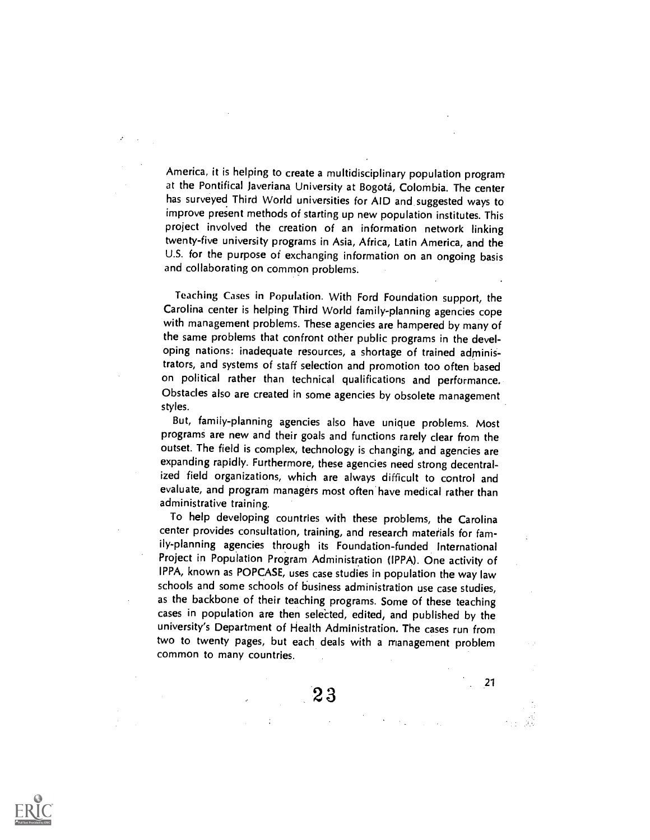America, it is helping to create a multidisciplinary population program at the Pontifical Javeriana University at Bogota, Colombia. The center has surveyed Third World universities for AID and suggested ways to improve present methods of starting up new population institutes. This project involved the creation of an information network linking twenty-five university programs in Asia, Africa, Latin America, and the U.S. for the purpose of exchanging information on an ongoing basis and collaborating on common problems.

Teaching Cases in Population. With Ford Foundation support, the Carolina center is helping Third World family-planning agencies cope with management problems. These agencies are hampered by many of the same problems that confront other public programs in the developing nations: inadequate resources, a shortage of trained administrators, and systems of staff selection and promotion too often based on political rather than technical qualifications and performance. Obstacles also are created in some agencies by obsolete management styles.

But, family-planning agencies also have unique problems. Most programs are new and their goals and functions rarely clear from the outset. The field is complex, technology is changing, and agencies are expanding rapidly. Furthermore, these agencies need strong decentralized field organizations, which are always difficult to control and evaluate, and program managers most often have medical rather than administrative training.

To help developing countries with these problems, the Carolina center provides consultation, training, and research materials for family-planning agencies through its Foundation-funded International Project in Population Program Administration (IPPA). One activity of IPPA, known as POPCASE, uses case studies in population the way law schools and some schools of business administration use case studies, as the backbone of their teaching programs. Some of these teaching cases in population are then selected, edited, and published by the university's Department of Health Administration. The cases run from two to twenty pages, but each deals with a management problem common to many countries.

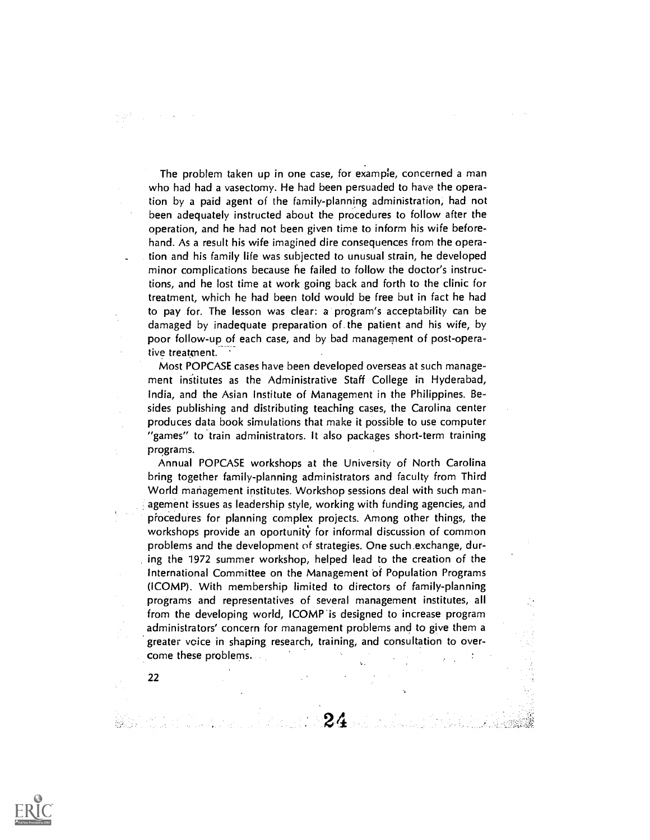The problem taken up in one case, for example, concerned a man who had had a vasectomy. He had been persuaded to have the operation by a paid agent of the family-planning administration, had not been adequately instructed about the procedures to follow after the operation, and he had not been given time to inform his wife beforehand. As a result his wife imagined dire consequences from the operation and his family life was subjected to unusual strain, he developed minor complications because he failed to follow the doctor's instructions, and he lost time at work going back and forth to the clinic for treatment, which he had been told would be free but in fact he had to pay for. The lesson was clear: a program's acceptability can be damaged by inadequate preparation of the patient and his wife, by poor follow-up of each case, and by bad management of post-operative treatment.

Most POPCASE cases have been developed overseas at such management institutes as the Administrative Staff College in Hyderabad, India, and the Asian Institute of Management in the Philippines. Besides publishing and distributing teaching cases, the Carolina center produces data book simulations that make it possible to use computer "games" to train administrators. It also packages short-term training programs.

Annual POPCASE workshops at the University of North Carolina bring together family-planning administrators and faculty from Third World management institutes. Workshop sessions deal with such management issues as leadership style, working with funding agencies, and piocedures for planning complex projects. Among other things, the workshops provide an oportunity for informal discussion of common problems and the development of strategies. One such exchange, during the 1972 summer workshop, helped lead to the creation of the International Committee on the Management bf Population Programs (ICOMP). With membership limited to directors of family-planning programs and representatives of several management institutes, all from the developing world, ICOMP is designed to increase program administrators' concern for management problems and to give them a greater voice in shaping research, training, and consultation to overcome these problems.

 $24-$ 

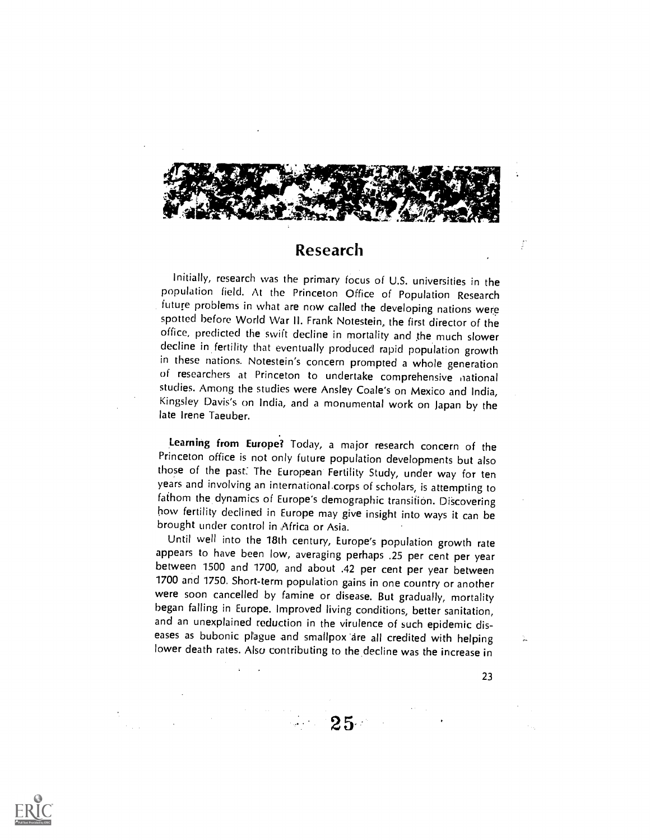

#### Research

Initially, research was the primary focus of U.S. universities in the population field. At the Princeton Office of Population Research future problems in what are now called the developing nations were spotted before World War II. Frank Notestein, the first director of the office, predicted the swift decline in mortality and the much slower decline in fertility that eventually produced rapid population growth in these nations. Notestein's concern prompted a whole generation of researchers at Princeton to undertake comprehensive national studies. Among the studies were Ansley Coale's on Mexico and India, Kingsley Davis's on India, and a monumental work on Japan by the late Irene Taeuber.

Learning from Europe? Today, a major research concern of the Princeton office is not only future population developments but also those of the past: The European Fertility Study, under way for ten years and involving an international.corps of scholars, is attempting to fathom the dynamics of Europe's demographic transition. Discovering how fertility declined in Europe may give insight into ways it can be brought under control in Africa or Asia.

Until well into the 18th century, Europe's population growth rate appears to have been low, averaging perhaps .25 per cent per year between 1500 and 1700, and about .42 per cent per year between 1700 and 1750. Short-term population gains in one country or another were soon cancelled by famine or disease. But gradually, mortality began falling in Europe. Improved living conditions, better sanitation, and an unexplained reduction in the virulence of such epidemic diseases as bubonic plague and smallpox are all credited with helping lower death rates. Also contributing to the decline was the increase in

 $25 -$ 

23

ţ,

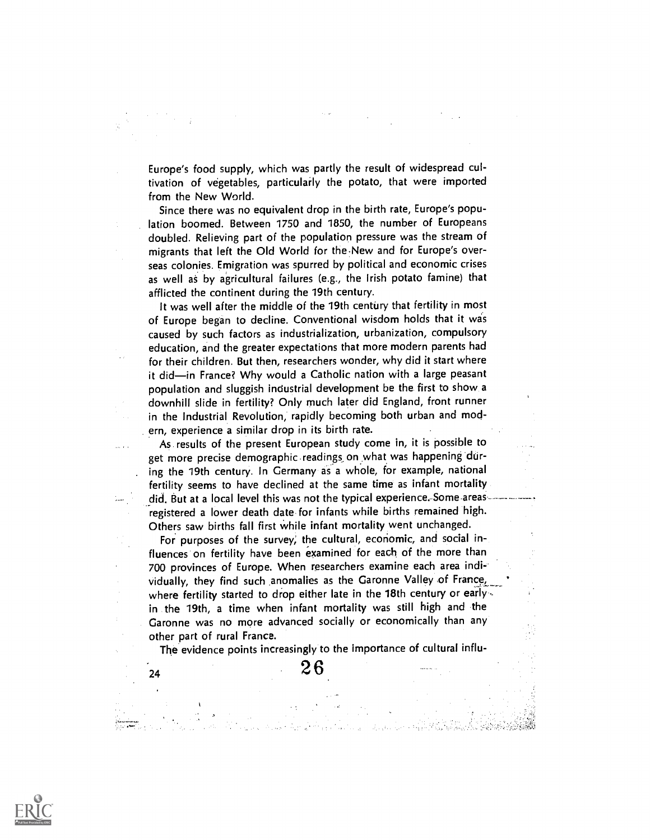Europe's food supply, which was partly the result of widespread cultivation of vegetables, particularly the potato, that were imported from the New World.

Since there was no equivalent drop in the birth rate, Europe's population boomed. Between 1750 and 1850, the number of Europeans doubled. Relieving part of the population pressure was the stream of migrants that left the Old World for the-New and for Europe's overseas colonies. Emigration was spurred by political and economic crises as well as by agricultural failures (e.g., the Irish potato famine) that afflicted the continent during the 19th century.

It was well after the middle of the 19th century that fertility in most of Europe began to decline. Conventional wisdom holds that it was caused by such factors as industrialization, urbanization, compulsory education, and the greater expectations that more modern parents had for their children. But then, researchers wonder, why did it start where it did—in France? Why would a Catholic nation with a large peasant population and sluggish industrial development be the first to show a downhill slide in fertility? Only much later did England, front runner in the Industrial Revolution, rapidly becoming both urban and modern, experience a similar drop in its birth rate.

As results of the present European study come in, it is possible to get more precise demographic readings on.what was happening during the 19th century. In Germany as a whole, for example, national fertility seems to have declined at the same time as infant mortality did. But at a local level this was not the typical experience.-Some-areas registered a lower death date for infants while births remained high. Others saw births fall first While infant mortality went unchanged.

For purposes of the survey; the cultural, economic, and social influences on fertility have been examined for each of the more than 700 provinces of Europe. When researchers examine each area individually, they find such anomalies as the Garonne Valley of France, where fertility started to drop either late in the 18th century or early. in the 19th, a time when infant mortality was still high and the Garonne was no more advanced socially or economically than any other part of rural France.

The evidence points increasingly to the importance of cultural influ-

.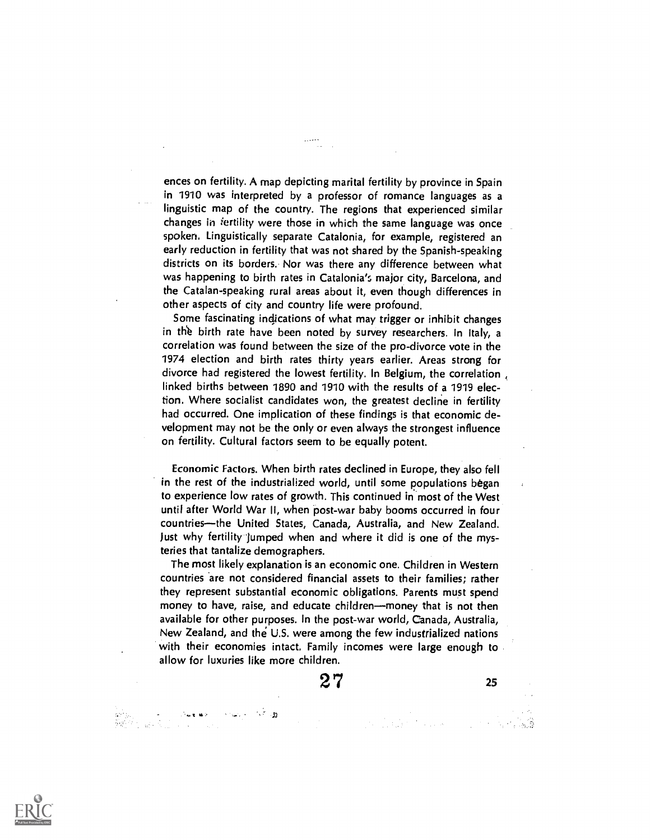ences on fertility. A map depicting marital fertility by province in Spain in 1910 was interpreted by a professor of romance languages as a linguistic map of the country. The regions that experienced similar changes in *iertility* were those in which the same language was once spoken. Linguistically separate Catalonia, for example, registered an early reduction in fertility that was not shared by the Spanish-speaking districts on its borders. Nor was there any difference between what was happening to birth rates in Catalonia's major city, Barcelona, and the Catalan-speaking rural areas about it, even though differences in other aspects of city and country life were profound.

Some fascinating indications of what may trigger or inhibit changes in the birth rate have been noted by survey researchers. In Italy, a correlation was found between the size of the pro-divorce vote in the 1974 election and birth rates thirty years earlier. Areas strong for divorce had registered the lowest fertility. In Belgium, the correlation , linked births between 1890 and 1910 with the results of a 1919 election. Where socialist candidates won, the greatest decline in fertility had occurred. One implication of these findings is that economic development may not be the only or even always the strongest influence on fertility. Cultural factors seem to be equally potent.

Economic Factors. When birth rates declined in Europe, they also fell in the rest of the industrialized world, until some populations began to experience low rates of growth. This continued in most of the West until after World War II, when post-war baby booms occurred in four countries—the United States, Canada, Australia, and New Zealand. )ust why fertility Jumped when and where it did is one of the mysteries that tantalize demographers.

The most likely explanation is an economic one. Children in Western countries are not considered financial assets to their families; rather they represent substantial economic obligations. Parents must spend money to have, raise, and educate children—money that is not then available for other purposes. In the post-war world, Canada, Australia, New Zealand, and the U.S. were among the few industrialized nations with their economies intact. Family incomes were large enough to allow for luxuries like more children.

27

3.1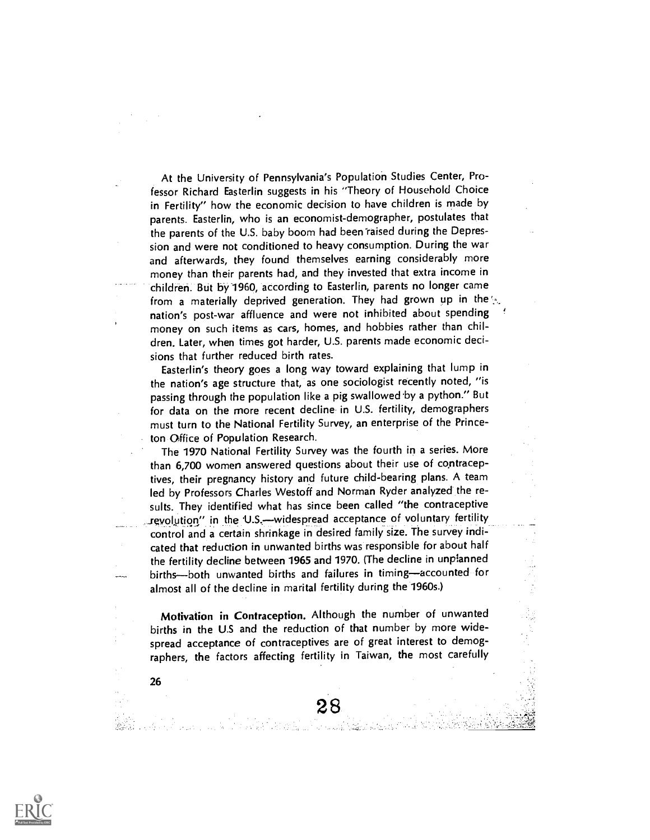At the University of Pennsylvania's Population Studies Center, Professor Richard Easterlin suggests in his "Theory of Household Choice in Fertility" how the economic decision to have children is made by parents. Easterlin, who is an economist-demographer, postulates that the parents of the U.S. baby boom had been raised during the Depression and were not conditioned to heavy consumption. During the war and afterwards, they found themselves earning considerably more money than their parents had, and they invested that extra income in children. But by 1960, according to Easterlin, parents no longer came from a materially deprived generation. They had grown up in the nation's post-war affluence and were not inhibited about spending money on such items as cars, homes, and hobbies rather than children. Later, when times got harder, U.S. parents made economic decisions that further reduced birth rates.

Easterlin's theory goes a long way toward explaining that lump in the nation's age structure that, as one sociologist recently noted, "is passing through the population like a pig swallowed by a python." But for data on the more recent decline in U.S. fertility, demographers must turn to the National Fertility Survey, an enterprise of the Princeton Office of Population Research.

The 1970 National Fertility Survey was the fourth in a series. More than 6,700 women answered questions about their use of contraceptives, their pregnancy history and future child-bearing plans. A team led by Professors Charles Westoff and Norman Ryder analyzed the results. They identified what has since been called "the contraceptive revolution" in the U.S.--widespread acceptance of voluntary fertility control and a certain shrinkage in desired family size. The survey indicated that reduction in unwanted births was responsible for about half the fertility decline between 1965 and 1970. (The decline in unplanned births-both unwanted births and failures in timing-accounted for almost all of the decline in marital fertility during the 1960s.)

Motivation in Contraception. Although the number of unwanted births in the U.S and the reduction of that number by more widespread acceptance of contraceptives are of great interest to demographers, the factors affecting fertility in Taiwan, the most carefully

> 28 i de su cult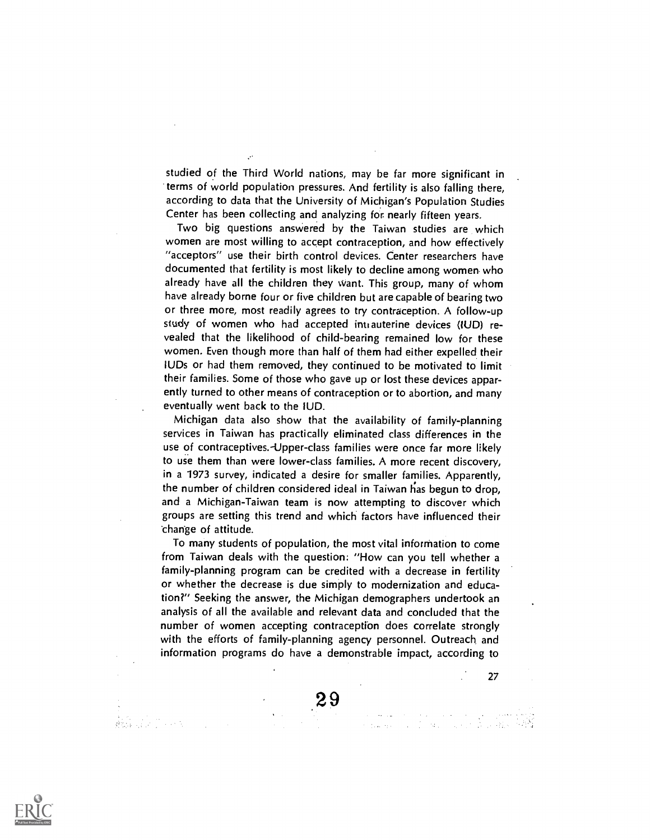studied of the Third World nations, may be far more significant in terms of world population pressures. And fertility is also falling there, according to data that the University of Michigan's Population Studies Center has been collecting and analyzing for nearly fifteen years.

Two big questions answered by the Taiwan studies are which women are most willing to accept contraception, and how effectively "acceptors" use their birth control devices. Center researchers have documented that fertility is most likely to decline among women who already have all the children they want. This group, many of whom have already borne four or five children but are capable of bearing two or three more, most readily agrees to try contraception. A follow-up study of women who had accepted intrauterine devices (IUD) revealed that the likelihood of child-bearing remained low for these women. Even though more than half of them had either expelled their IUDs or had them removed, they continued to be motivated to limit their families. Some of those who gave up or lost these devices apparently turned to other means of contraception or to abortion, and many eventually went back to the IUD.

Michigan data also show that the availability of family-planning services in Taiwan has practically eliminated class differences in the use of contraceptives. Upper-class families were once far more likely to use them than were lower-class families. A more recent discovery, in a 1973 survey, indicated a desire for smaller families. Apparently, the number of children considered ideal in Taiwan has begun to drop, and a Michigan-Taiwan team is now attempting to discover which groups are setting this trend and which factors have influenced their charige of attitude.

To many students of population, the most vital information to come from Taiwan deals with the question: "How can you tell whether a family-planning program can be credited with a decrease in fertility or whether the decrease is due simply to modernization and education?" Seeking the answer, the Michigan demographers undertook an analysis of all the available and relevant data and concluded that the number of women accepting contraception does correlate strongly with the efforts of family-planning agency personnel. Outreach and information programs do have a demonstrable impact, according to

27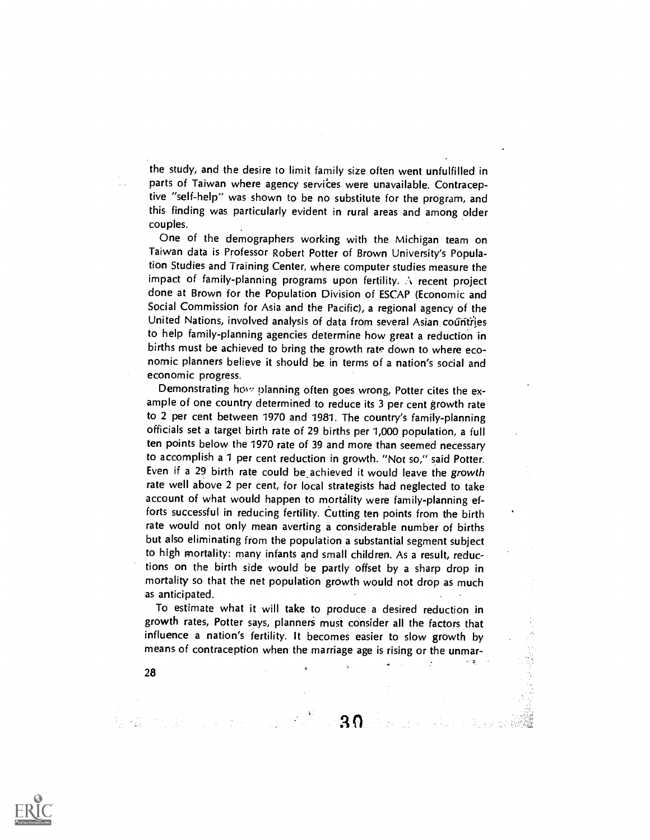the study, and the desire to limit family size often went unfulfilled in parts of Taiwan where agency services were unavailable. Contraceptive "self-help" was shown to be no substitute for the program, and this finding was particularly evident in rural areas and among older couples.

One of the demographers working with the Michigan team on Taiwan data is Professor Robert Potter of Brown University's Population Studies and Training Center, where computer studies measure the impact of family-planning programs upon fertility. .\ recent project done at Brown for the Population Division of ESCAP (Economic and Social Commission for Asia and the Pacific), a regional agency of the United Nations, involved analysis of data from several Asian countries to help family-planning agencies determine how great a reduction in births must be achieved to bring the growth rate down to where economic planners believe it should be in terms of a nation's social and economic progress.

Demonstrating how planning often goes wrong, Potter cites the example of one country determined to reduce its 3 per cent growth rate to 2 per cent between 1970 and 1981. The country's family-planning officials set a target birth rate of 29 births per 1,000 population, a full ten points below the 1970 rate of 39 and more than seemed necessary to accomplish a 1 per cent reduction in growth. "Not so," said Potter. Even if a 29 birth rate could be\_achieved it would leave the growth rate well above 2 per cent, for local strategists had neglected to take account of what would happen to mortality were family-planning efforts successful in reducing fertility. Cutting ten points from the birth rate would not only mean averting a considerable number of births but also eliminating from the population a substantial segment subject to high mortality: many infants and small children. As a result, reductions on the birth side would be partly offset by a sharp drop in mortality so that the net population growth would not drop as much as anticipated.

To estimate what it will take to produce a desired reduction in growth rates, Potter says, planners must consider all the factors that influence a nation's fertility. It becomes easier to slow growth by means of contraception when the marriage age is rising or the unmar-

 $30 -$ 

 $\bar{\Psi}$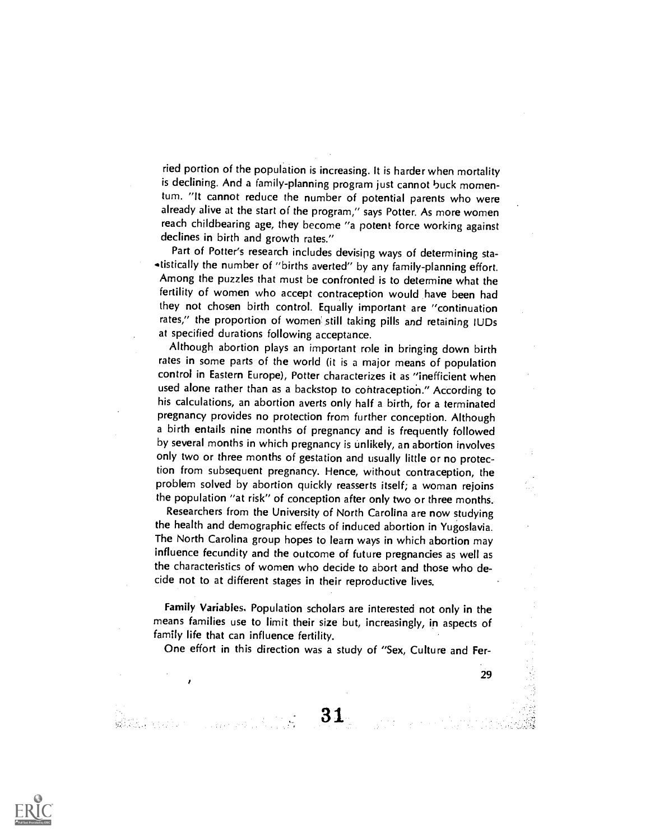ried portion of the population is increasing. It is harder when mortality is declining. And a family-planning program just cannot buck momentum. "It cannot reduce the number of potential parents who were already alive at the start of the program," says Potter. As more women reach childbearing age, they become "a potent force working against declines in birth and growth rates."

Part of Potter's research includes devisipg ways of determining sta- .tistically the number of "births averted" by any family-planning effort. Among the puzzles that must be confronted is to determine what the fertility of women who accept contraception would have been had they not chosen birth control. Equally important are "continuation rates," the proportion of women still taking pills and retaining IUDs at specified durations following acceptance.

Although abortion plays an important role in bringing down birth rates in some parts of the world (it is a major means of population control in Eastern Europe), Potter characterizes it as "inefficient when used alone rather than as a backstop to contraception." According to his calculations, an abortion averts only half a birth, for a terminated pregnancy provides no protection from further conception. Although a birth entails nine months of pregnancy and is frequently followed by several months in which pregnancy is unlikely, an abortion involves only two or three months of gestation and usually little or no protection from subsequent pregnancy. Hence, without contraception, the problem solved by abortion quickly reasserts itself; a woman rejoins the population "at risk" of conception after only two or three months.

Researchers from the University of North Carolina are now studying the health and demographic effects of induced abortion in Yugoslavia. The North Carolina group hopes to learn ways in which abortion may influence fecundity and the outcome of future pregnancies as well as the characteristics of women who decide to abort and those who decide not to at different stages in their reproductive lives.

Family Variables. Population scholars are interested not only in the means families use to limit their size but, increasingly, in aspects of family life that can influence fertility.

One effort in this direction was a study of "Sex, Culture and Fer-

31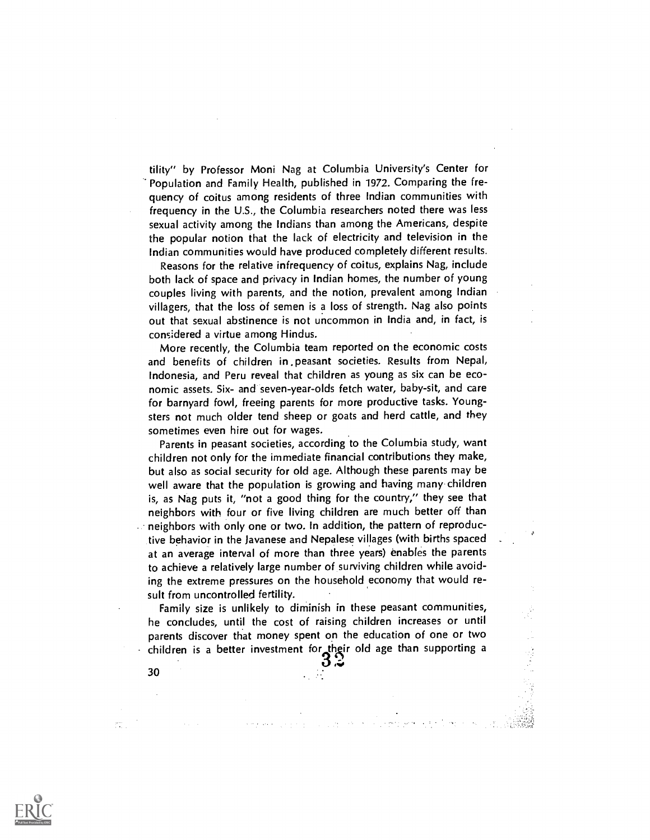tility" by Professor Moni Nag at Columbia University's Center for Population and Family Health, published in 1972. Comparing the frequency of coitus among residents of three Indian communities with frequency in the U.S., the Columbia researchers noted there was less sexual activity among the Indians than among the Americans, despite the popular notion that the lack of electricity and television in the Indian communities would have produced completely different results.

Reasons for the relative infrequency of coitus, explains Nag, include both lack of space and privacy in Indian homes, the number of young couples living with parents, and the notion, prevalent among Indian villagers, that the loss of semen is a loss of strength. Nag also points out that sexual abstinence is not uncommon in India and, in fact, is considered a virtue among Hindus.

More recently, the Columbia team reported on the economic costs and benefits of children in .peasant societies. Results from Nepal, Indonesia, and Peru reveal that children as young as six can be economic assets. Six- and seven-year-olds fetch water, baby-sit, and care for barnyard fowl, freeing parents for more productive tasks. Youngsters not much older tend sheep or goats and herd cattle, and they sometimes even hire out for wages.

Parents in peasant societies, according to the Columbia study, want children not only for the immediate financial contributions they make, but also as social security for old age. Although these parents may be well aware that the population is growing and having many children is, as Nag puts it, "not a good thing for the country," they see that neighbors with four or five living children are much better off than neighbors with only one or two. In addition, the pattern of reproductive behavior in the Javanese and Nepalese villages (with births spaced at an average interval of more than three years) enables the parents to achieve a relatively large number of surviving children while avoiding the extreme pressures on the household economy that would result from uncontrolled fertility.

Family size is unlikely to diminish in these peasant communities, he concludes, until the cost of raising children increases or until parents discover that money spent on the education of one or two children is a better investment for their old age than supporting a

 $3.3 \pm 1.2 \pm 1.2 \pm 1.2 \pm 1.2 \pm 1.2 \pm 1.2 \pm 1.2 \pm 1.2 \pm 1.2 \pm 1.2 \pm 1.2 \pm 1.2 \pm 1.2 \pm 1.2 \pm 1.2 \pm 1.2 \pm 1.2 \pm 1.2 \pm 1.2 \pm 1.2 \pm 1.2 \pm 1.2 \pm 1.2 \pm 1.2 \pm 1.2 \pm 1.2 \pm 1.2 \pm 1.2 \pm 1.2 \pm 1.2 \pm 1.2 \pm 1.2 \pm 1.2 \pm 1.2 \pm 1.2 \pm 1.2 \$ 

3 0

ani.<br>Litr

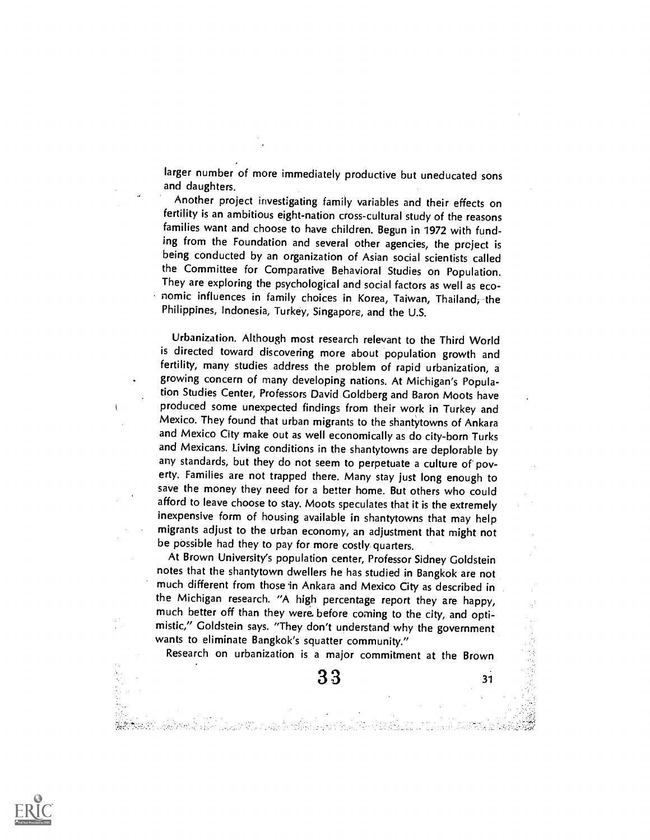larger number of more immediately productive but uneducated sons and daughters.

Another project investigating family variables and their effects on fertility is an ambitious eight-nation cross-cultural study of the reasons families want and choose to have children. Begun in 1972 with funding from the Foundation and several other agencies, the prcject is being conducted by an organization of Asian social scientists called the Committee for Comparative Behavioral Studies on Population. They are exploring the psychological and social factors as well as economic influences in family choices in Korea, Taiwan, Thailand; the Philippines, Indonesia, Turkey, Singapore, and the U.S.

Urbanization. Although most research relevant to the Third World is directed toward discovering more about population growth and fertility, many studies address the problem of rapid urbanization, a growing concern of many developing nations. At Michigan's Population Studies Center, Professors David Goldberg and Baron Moots have produced some unexpected findings from their work in Turkey and Mexico. They found that urban migrants to the shantytowns of Ankara and Mexico City make out as well economically as do city-born Turks and Mexicans. Living conditions in the shantytowns are deplorable by any standards, but they do not seem to perpetuate a culture of poverty. Families are not trapped there. Many stay just long enough to save the money they need for a better home. But others who could afford to leave choose to stay. Moots speculates that it is the extremely inexpensive form of housing available in shantytowns that may help migrants adjust to the urban economy, an adjustment that might not be possible had they to pay for more costly. quarters.

At Brown University's population center, Professor Sidney Goldstein notes that the shantytown dwellers he has studied in Bangkok are not much different from those in Ankara and Mexico City as described in the Michigan research. "A high percentage report they are happy, much better off than they were. before coming to the city, and optimistic," Goldstein says. "They don't understand why the government wants to eliminate Bangkok's squatter community."

Research on urbanization is a major commitment at the Brown

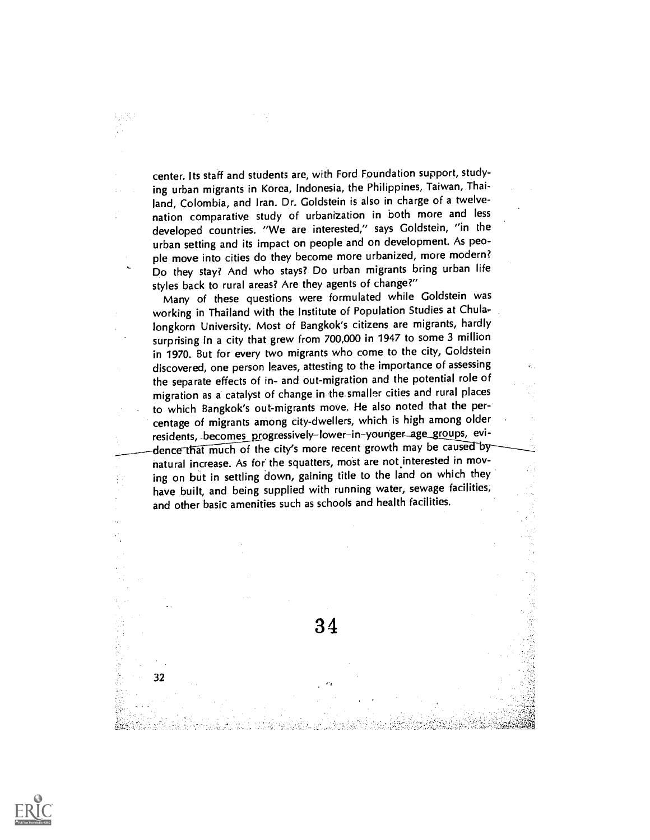center. Its staff and students are, with Ford Foundation support, studying urban migrants in Korea, Indonesia, the Philippines, Taiwan, Thailand, Colombia, and Iran. Dr. Goldstein is also in charge of a twelvenation comparative study of urbanization in both more and less developed countries. "We are interested," says Goldstein, "in the urban setting and its impact on people and on development. As people move into cities do they become more urbanized, more modern? Do they stay? And who stays? Do urban migrants bring urban life styles back to rural areas? Are they agents of change?"

Many of these questions were formulated while Goldstein was working in Thailand with the Institute of Population Studies at Chulalongkorn University. Most of Bangkok's citizens are migrants, hardly surprising in a city that grew from 700,000 in 1947 to some 3 million in 1970. But for every two migrants who come to the city, Goldstein discovered, one person leaves, attesting to the importance of assessing the separate effects of in- and out-migration and the potential role of migration as a catalyst of change in the smaller cities and rural places to which Bangkok's out-migrants move. He also noted that the percentage of migrants among city-dwellers, which is high among older residents, becomes progressively-lower-in-younger\_age\_groups, evidence that much of the city's more recent growth may be caused by natural increase. As for the squatters, most are not interested in moving on but in settling down, gaining title to the land on which they have built, and being supplied with running water, sewage facilities, and other basic amenities such as schools and health facilities.

34



32

Ŧ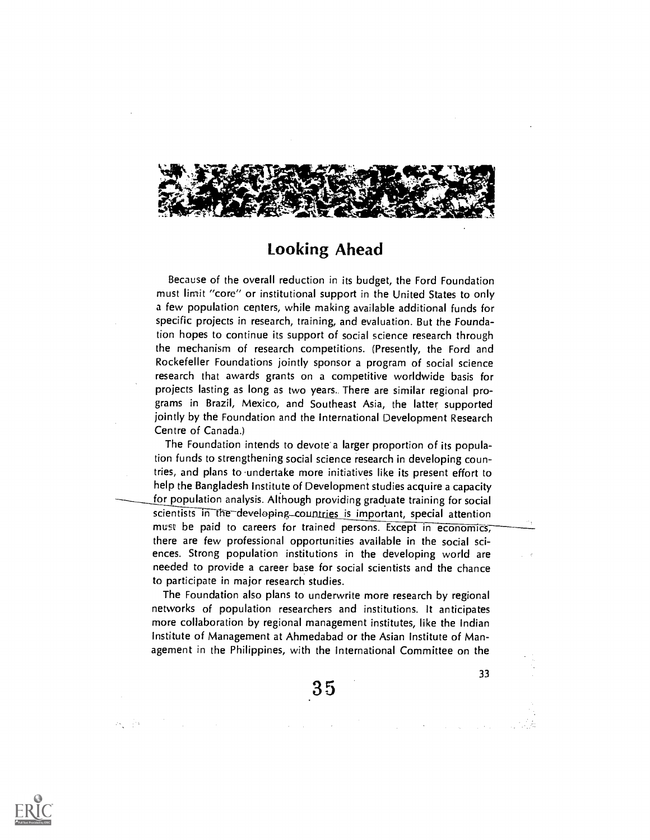

### Looking Ahead

Because of the overall reduction in its budget, the Ford Foundation must limit "core" or institutional support in the United States to only a few population centers, while making available additional funds for specific projects in research, training, and evaluation. But the Foundation hopes to continue its support of social science research through the mechanism of research competitions. (Presently, the Ford and Rockefeller Foundations jointly sponsor a program of social science research that awards grants on a competitive worldwide basis for projects lasting as long as two years. There are similar regional programs in Brazil, Mexico, and Southeast Asia, the latter supported jointly by the Foundation and the International Development Research Centre of Canada.)

The Foundation intends to devote a larger proportion of its population funds to strengthening social science research in developing countries, and plans to -undertake more initiatives like its present effort to help the Bangladesh Institute of Development studies acquire a capacity for population analysis. Although providing graduate training for social scientists in the developing-countries is important, special attention must be paid to careers for trained persons. Except in economics, there are few professional opportunities available in the social sciences. Strong population institutions in the developing world are needed to provide a career base for social scientists and the chance to participate in major research studies.

The Foundation also plans to underwrite more research by regional networks of population researchers and institutions. It anticipates more collaboration by regional management institutes, like the Indian Institute of Management at Ahmedabad or the Asian Institute of Management in the Philippines, with the International Committee on the

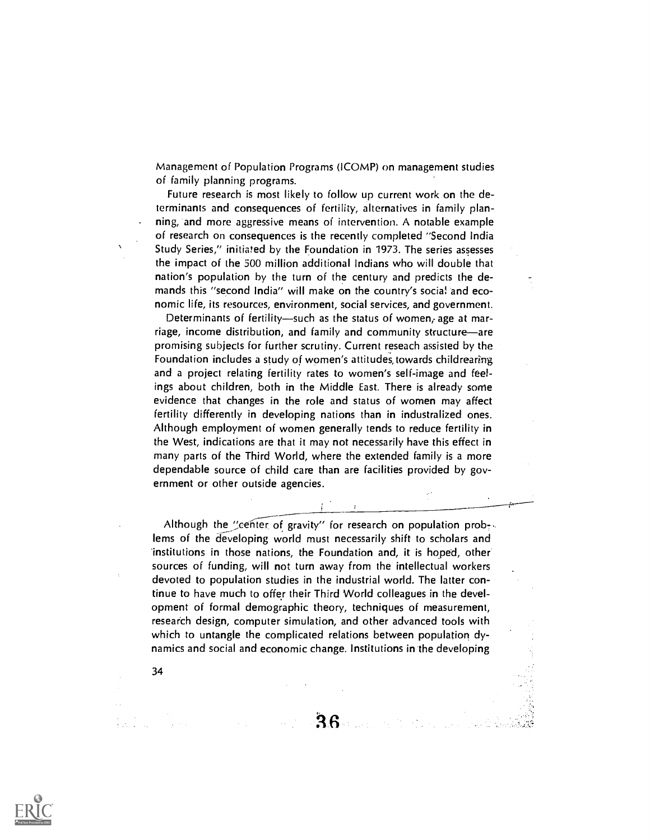Management of Population Programs (ICOMP) on management studies of family planning programs.

Future research is most likely to follow up current work on the determinants and consequences of fertility, alternatives in family planning, and more aggressive means of intervention. A notable example of research on consequences is the recently completed "Second India Study Series," initiated by the Foundation in 1973. The series assesses the impact of the 500 million additional Indians who will double that nation's population by the turn of the century and predicts the demands this "second India" will make on the country's social and economic life, its resources, environment, social services, and government.

Determinants of fertility—such as the status of women, age at marriage, income distribution, and family and community structure-are promising subjects for further scrutiny. Current reseach assisted by the Foundation includes a study of women's attitudes, towards childrearing and a project relating fertility rates to women's self-image and feelings about children, both in the Middle East. There is already some evidence that changes in the role and status of women may affect fertility differently in developing nations than in industralized ones. Although employment of women generally tends to reduce fertility in the West, indications are that it may not necessarily have this effect in many parts of the Third World, where the extended family is a more dependable source of child care than are facilities provided by government or other outside agencies.

Although the "center of gravity" for research on population prob-. lems of the developing world must necessarily shift to scholars and institutions in those nations, the Foundation and, it is hoped, other sources of funding, will not turn away from the intellectual workers devoted to population studies in the industrial world. The latter continue to have much to offer their Third World colleagues in the development of formal demographic theory, techniques of measurement, research design, computer simulation, and other advanced tools with which to untangle the complicated relations between population dynamics and social and economic change. Institutions in the developing

 $36 - 1$ 

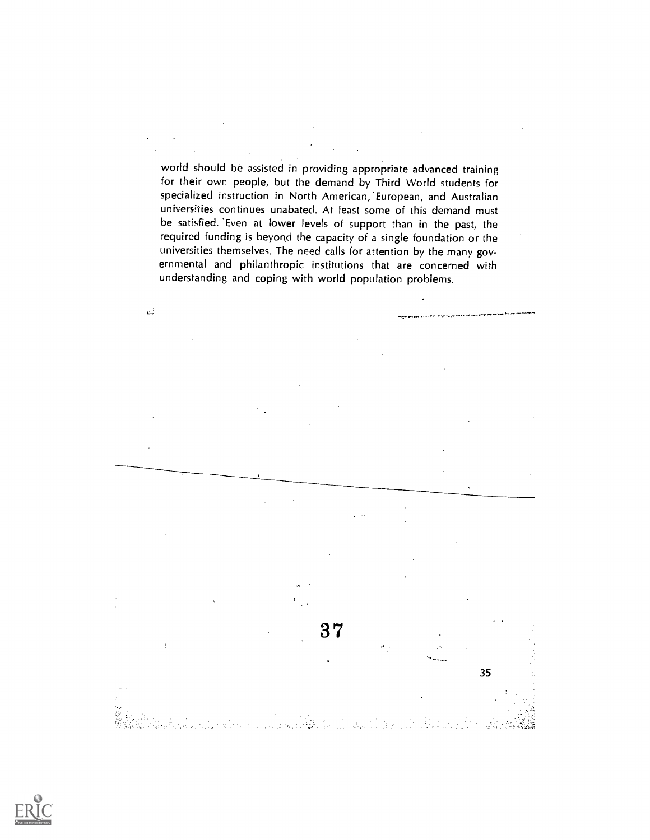world should be assisted in providing appropriate advanced training for their own people, but the demand by Third World students for specialized instruction in North American, European, and Australian universities continues unabated. At least some of this demand must be satisfied. 'Even at lower levels of support than in the past, the required funding is beyond the capacity of a single foundation or the universities themselves. The need calls for attention by the many governmental and philanthropic institutions that are concerned with understanding and coping with world population problems.

 $\omega^2$ 

37  $\overline{1}$ 35

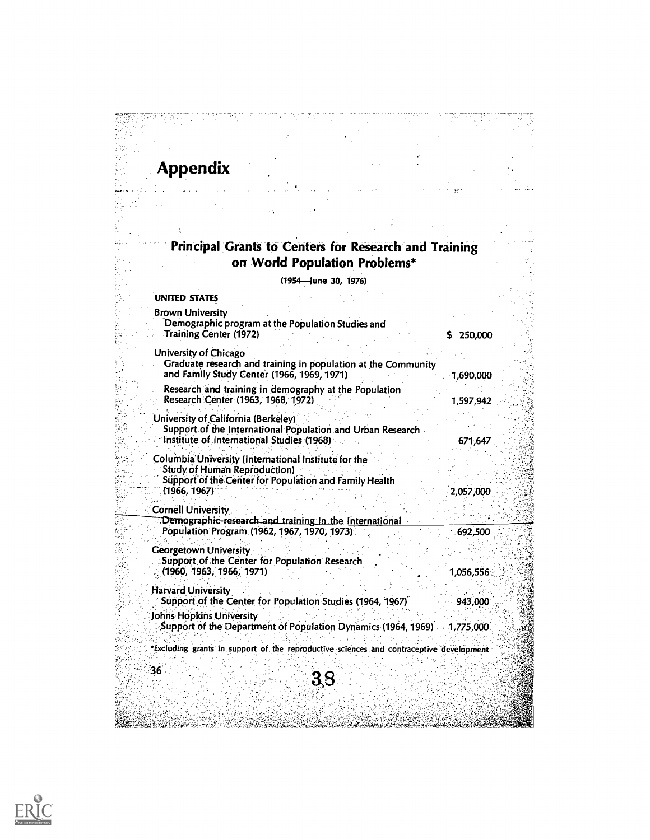# Appendix

 $\hat{\zeta}$ 

adilla.<br>A ÷

#### Principal Grants to Centers for Research and Training on World Population Problems\*

(1954—June 30, 1976)

 $\omega_{\rm{max}}$ 

| <b>UNITED STATES</b>                                                                                                                                                  |              |
|-----------------------------------------------------------------------------------------------------------------------------------------------------------------------|--------------|
| <b>Brown University</b><br>Demographic program at the Population Studies and<br><b>Training Center (1972)</b>                                                         | 250,000<br>5 |
| University of Chicago<br>Graduate research and training in population at the Community<br>and Family Study Center (1966, 1969, 1971)                                  | 1,690,000    |
| Research and training in demography at the Population<br>Research Center (1963, 1968, 1972)                                                                           | 1,597,942    |
| University of California (Berkeley)<br>Support of the International Population and Urban Research<br>Institute of International Studies (1968)                        | 671,647      |
| Columbia University (International Institute for the<br><b>Study of Human Reproduction)</b><br>Support of the Center for Population and Family Health<br>(1966, 1967) | 2,057,000    |
| <b>Cornell University</b><br>Demographic-research and training in the International<br>Population Program (1962, 1967, 1970, 1973)                                    | 692,500      |
| <b>Georgetown University</b><br>Support of the Center for Population Research<br>(1960, 1963, 1966, 1971)                                                             | 1,056,556    |
| <b>Harvard University</b><br>Support of the Center for Population Studies (1964, 1967)                                                                                | 943,000      |
| Johns Hopkins University<br>Support of the Department of Population Dynamics (1964, 1969) 1,775,000                                                                   |              |
| *Excluding grants in support of the reproductive sciences and contraceptive development                                                                               |              |
| 36<br>38                                                                                                                                                              |              |
|                                                                                                                                                                       |              |

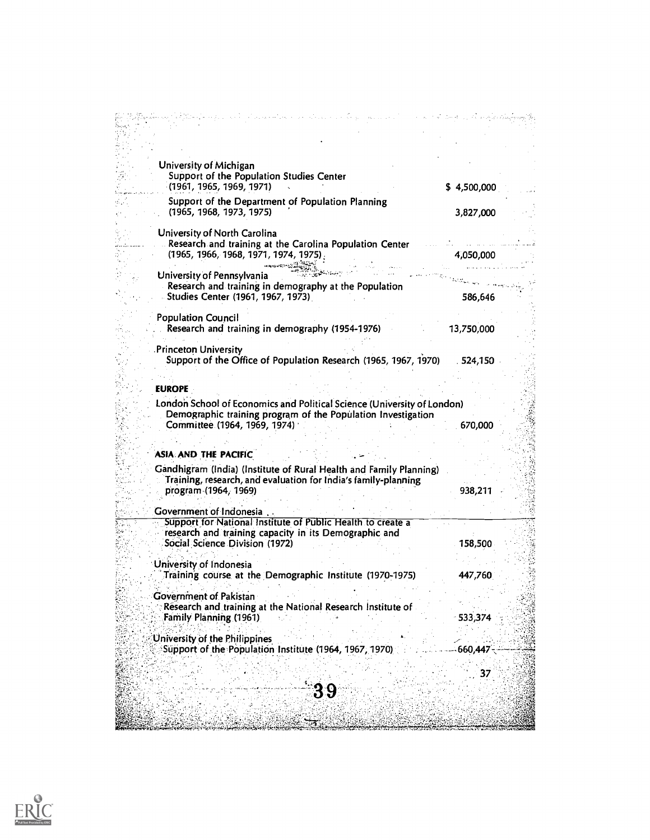| University of Michigan                                                                                               |  |
|----------------------------------------------------------------------------------------------------------------------|--|
| Support of the Population Studies Center                                                                             |  |
| (1961, 1965, 1969, 1971)<br>\$4,500,000                                                                              |  |
| Support of the Department of Population Planning                                                                     |  |
| (1965, 1968, 1973, 1975)<br>3,827,000                                                                                |  |
| University of North Carolina                                                                                         |  |
| Research and training at the Carolina Population Center                                                              |  |
| (1965, 1966, 1968, 1971, 1974, 1975)<br>4,050,000                                                                    |  |
| University of Pennsylvania                                                                                           |  |
| Research and training in demography at the Population                                                                |  |
| Studies Center (1961, 1967, 1973)<br>586,646                                                                         |  |
|                                                                                                                      |  |
| <b>Population Council</b><br>Research and training in demography (1954-1976)<br>13,750,000                           |  |
|                                                                                                                      |  |
| <b>Princeton University</b>                                                                                          |  |
| Support of the Office of Population Research (1965, 1967, 1970)<br>. 524,150                                         |  |
|                                                                                                                      |  |
| <b>EUROPE</b>                                                                                                        |  |
| London School of Economics and Political Science (University of London)                                              |  |
| Demographic training program of the Population Investigation                                                         |  |
| Committee (1964, 1969, 1974)<br>670,000                                                                              |  |
|                                                                                                                      |  |
| ASIA AND THE PACIFIC                                                                                                 |  |
| Gandhigram (India) (Institute of Rural Health and Family Planning)                                                   |  |
| Training, research, and evaluation for India's family-planning<br>program (1964, 1969)<br>938,211                    |  |
|                                                                                                                      |  |
| Government of Indonesia.                                                                                             |  |
| Support for National Institute of Public Health to create a<br>research and training capacity in its Demographic and |  |
| Social Science Division (1972)<br>158,500                                                                            |  |
|                                                                                                                      |  |
| University of Indonesia                                                                                              |  |
| Training course at the Demographic Institute (1970-1975)<br>447,760                                                  |  |
| Government of Pakistan                                                                                               |  |
| Research and training at the National Research Institute of                                                          |  |
| Family Planning (1961)<br>533,374                                                                                    |  |
| University of the Philippines                                                                                        |  |
| Support of the Population Institute (1964, 1967, 1970)<br>660,447                                                    |  |
|                                                                                                                      |  |
| 37                                                                                                                   |  |
| 39                                                                                                                   |  |
|                                                                                                                      |  |
|                                                                                                                      |  |

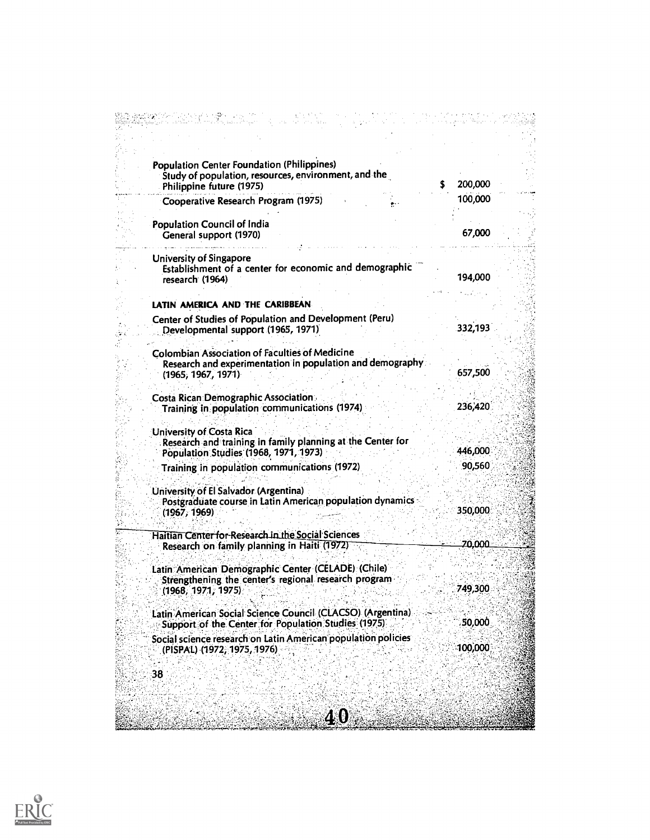| <b>Population Center Foundation (Philippines)</b><br>Study of population, resources, environment, and the<br>Philippine future (1975)    | 200,000 |  |
|------------------------------------------------------------------------------------------------------------------------------------------|---------|--|
| Cooperative Research Program (1975)                                                                                                      | 100,000 |  |
| Population Council of India<br>General support (1970)                                                                                    | 67,000  |  |
| <b>University of Singapore</b><br>Establishment of a center for economic and demographic<br>research (1964)                              | 194,000 |  |
|                                                                                                                                          |         |  |
| LATIN AMERICA AND THE CARIBBEAN<br>Center of Studies of Population and Development (Peru)<br>Developmental support (1965, 1971)          | 332,193 |  |
| <b>Colombian Association of Faculties of Medicine</b><br>Research and experimentation in population and demography<br>(1965, 1967, 1971) | 657,500 |  |
| <b>Costa Rican Demographic Association</b><br>Training in population communications (1974)                                               | 236,420 |  |
| University of Costa Rica<br>Research and training in family planning at the Center for<br>Population Studies (1968, 1971, 1973)          | 446,000 |  |
| Training in population communications (1972)                                                                                             | 90,560  |  |
| University of El Salvador (Argentina)<br>Postgraduate course in Latin American population dynamics<br>(1967, 1969)                       | 350,000 |  |
| Haitian Center for Research in the Social Sciences<br>Research on family planning in Haiti (1972)                                        | 70,000  |  |
| Latin American Demographic Center (CELADE) (Chile)<br>Strengthening the center's regional research program<br>(1968, 1971, 1975)         | 749,300 |  |
| Latin American Social Science Council (CLACSO) (Argentina)<br>Support of the Center for Population Studies (1975)                        | 50,000  |  |
| Social science research on Latin American population policies<br>(PISPAL) (1972, 1975, 1976)                                             | 100,000 |  |
| 38                                                                                                                                       |         |  |
| 40                                                                                                                                       |         |  |

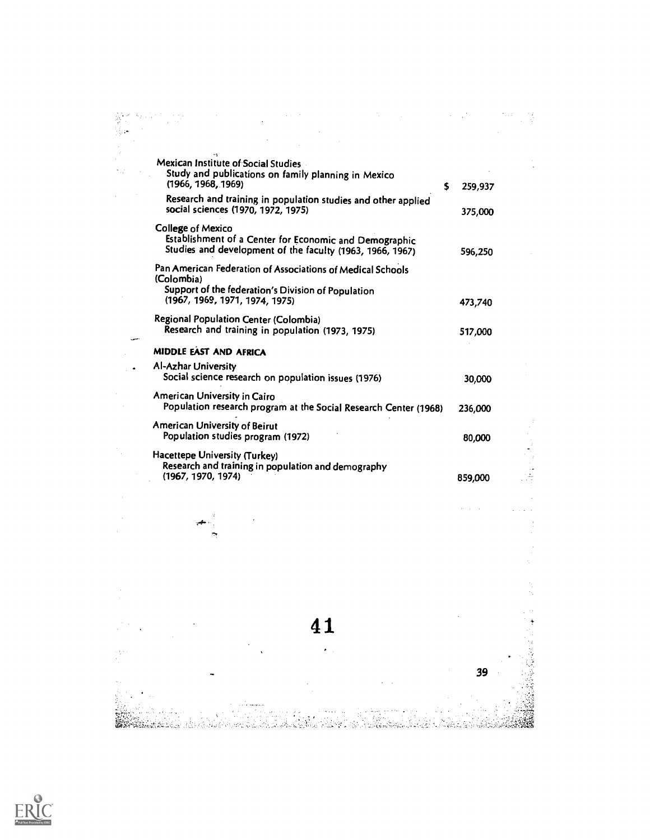| Mexican Institute of Social Studies<br>Study and publications on family planning in Mexico<br>(1966, 1968, 1969)                                                 | s | 259,937 |  |
|------------------------------------------------------------------------------------------------------------------------------------------------------------------|---|---------|--|
| Research and training in population studies and other applied<br>social sciences (1970, 1972, 1975)                                                              |   | 375,000 |  |
| <b>College of Mexico</b><br>Establishment of a Center for Economic and Demographic<br>Studies and development of the faculty (1963, 1966, 1967)                  |   | 596,250 |  |
| Pan American Federation of Associations of Medical Schools<br>(Colombia)<br>Support of the federation's Division of Population<br>(1967, 1969, 1971, 1974, 1975) |   | 473,740 |  |
| Regional Population Center (Colombia)<br>Research and training in population (1973, 1975)                                                                        |   | 517,000 |  |
| <b>MIDDLE EAST AND AFRICA</b>                                                                                                                                    |   |         |  |
| Al-Azhar University<br>Social science research on population issues (1976)                                                                                       |   | 30,000  |  |
| American University in Cairo<br>Population research program at the Social Research Center (1968)                                                                 |   | 236,000 |  |
| American University of Beirut<br>Population studies program (1972)                                                                                               |   | 80,000  |  |
| Hacettepe University (Turkey)<br>Research and training in population and demography<br>(1967, 1970, 1974)                                                        |   | 859,000 |  |
|                                                                                                                                                                  |   |         |  |

 $\bar{z}$ 

 $\frac{1}{\sqrt{2}}$ 

 $\mathcal{L}^{(1,1)}$ 

 $\frac{4}{3}$ 

 $\alpha$ 

39

41

 $\mathcal{L}_{\text{eff}}$ 

 $\alpha=1$ 



 $\mathcal{L}^{(2)}$  $\mathcal{A}$ 

 $\frac{1}{2}$ 

 $\frac{1}{2}$